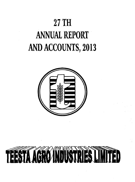## **27 TH ANNUAL REPORT AND ACCOUNTS, 2013**



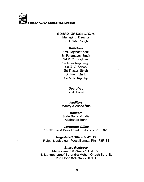

#### **BOARD OF DIRECTORS**

Managing Director **Sri Hardev Singh**

#### **Directors**

**Smt. Joginder Kaur Sri Paramdeep Singh Sri R. C. Wadhwa Sri Inderdeep Singh Sri U. C. Sahoo Sri Thakur Singh Sri Prem Singh Sri A. K. Tripathy**

#### *S e c re ta ry*

**Sri J. Tiwari**

#### *A u d ito rs*

Mantry & Associates

#### *B a n k e rs*

State Bank of India Aliahabad Bank

**Corporate Office** 63/1/2, Sarat Bose Road, Kolkata - 700 025

**Registered Office & Works** Rajganj, Jalpaiguri, West Bengal, Pln: 735134

#### *Share Registrar*

Maheshwari Datamatics Pvt. Ltd. 6, Mangoe Lane( Surendra Mohan Ghosh Sarani), 2nd Fioor, Koikata - 700 001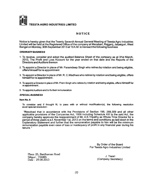

#### NOTICE

Notice is hereby given that the Twenty Seventh Annual General Meeting of eestaAgro Industries Limited will be held at the Registered Office of the company at Mazabari, Rajganj, Jaipaiguri, West Bengal on Monday, 30th September 2013 at 10 A.M. to transact the following business

#### *O R D IN A R Y B U S IN E S S*

- 1. To receive, consider and adopt the audited Balance Sheet of the company as at 31st March, 2013, The Profit and Loss Account for the year ended on that date and the Reports of the Directors and Auditors thereon
- 2. To appoint a Director in place of Mr. Paramdeep Singh who retires by rotation and being eligible, offers himself for re appointment
- 3. To appoint a Director in place of Mr. R. C. Wadhwa who retires by rotation and being eligible, offers himself for re appointment.
- 4. To appoint a Director in place of Mr. Prem Singh who retires by rotation and being eligible, offers himself for re appointment.
- 5. To appoint Auditors and to fix their remuneration

#### *S P E C IA L B U S IN E S S*

#### Item No. 6

To consider and if thought fit, to pass with or without modification(s), the following resolution as an special resolution;

"Resolved that in accordance with the Provisions of Section 198, 269,309 and all other applicable provisions of the Companies Act, 1956 including Schedule XIII to the said Act, the company hereby approves the reappointment of Mr. A.K.Tripathy as Whole Time Director for a period of three years w.e.f. November 1st, 2013 on the terms and conditions as laid down in the Explanatory Statement and further that the remuneration payable to him will be the minimum remuneration payable even case of loss or inadequacy of profit in any financial year during his tenure."

> By Order of the Board For Teesta Agro Industries Limited

Place: 25, Bardhaman Road Siliguri: 734005 J. Tiwari Date : 29.08.2013 (Company Secretary)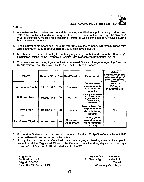#### NOTES:

- 1. A Member entitled to attend and vote at the meeting is entitled to appoint a proxy to attend and vote instead of himself and such proxy need not be a member of the company. The proxies in order to be effective must be received at the Registered Office of the company not less than 48 hours before the meeting.
- 2. The Register of Members and Share Transfer Books of the company will remain closed from 23rdSeptembert, 2013 to 30th September, 2013 both days inclusive.
- 3. Members are requested to notify immediately any change in their address to the Company's Registered Office or to the Company's Registrar M/s. Maheshwari Datamatics Pvt. Ltd.
- 4. The details as per Listing Agreement with concerned Stock exchange(s) regarding Directors retiring by rotation and being eligible for reappointment are as under :-

| <b>NAME</b>                |            |    | Date of Birth Age Qualification | <b>Experience</b>                                                                        | <b>Other</b><br>Directorship and<br>Membership of<br>any Committee |
|----------------------------|------------|----|---------------------------------|------------------------------------------------------------------------------------------|--------------------------------------------------------------------|
| Paramdeep Singh            | 22.10.1979 | 33 | Graduate                        | Eleven years<br>experience in<br>manufacturing<br>industry                               | Director in<br><b>HSB Agro</b><br>Industries Ltd.                  |
| R.C. Wadhwa                | 01.03.1944 | 68 | Engineer                        | <b>Twenty four years</b><br>experience in<br>Agricultural &<br>Manufacturing<br>industry | <b>NIL</b>                                                         |
| <b>Prem Singh</b>          | 01.01.1947 | 66 | Graduate                        | Twenty five years!<br>experience in<br>Manufacturing<br>Industry                         | <b>NIL</b>                                                         |
| <b>Anil Kumar Tripathy</b> | 01.07.1964 | 49 | Chartered<br>Accountant         | Twenty years<br>experience in<br>Manufacturing<br>Industry                               | <b>NIL</b>                                                         |

5. Explanatory Statement pursuant to the provisions of Section 173(2) of the Companies Act 1956 annexed herewith and forms part of the Notice.

A copy of all the documents referred to in the accompanying explanatory statement are open to inspection at the Registered Office of the Company on all working days except holidays, between 11.00 A.M. and 1.00 P.M. up to the date of AGM

Siliguri Office 25, Bardhaman Road Siliguri - 734005 Date : The 29th August, 2013

By the Order of the Board For Teesta Agro Industries Ltd. *J .T iw a r i* (Company Secretary)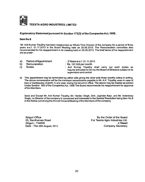

#### *E x p la n a to r y S ta te m e n t p u r s u a n t to S e c tio n 1 7 3 (2 ) o f th e C o m p a n ie s A c t, 1 9 5 6 .*

#### Item No 6

Mr. Anil Kumar Tripathy has been reappointed as Whole Time Director of the company for a period of three years w.e.f. 01.11.2013 in the Board Meeting held on 29.08.2013. The Remuneration committee also recommended for his reappointment in its meeting held on 26.08.2013. The brief terms of his reappointment are as under;

a) Period of Appointment : 3 Years w.e.f. 01.11.2013 b) Remuneration : Rs. 107,500 per month<br>c) Duties : Anil Kumar Tripathy c) Duties **in the Communist Communist Communist Communist Communist Communist Communist Communist Communist Communist Communist Communist Communist Communist Communist Communist Communist Communist Communist Communist Comm** may be entrusted to him by the Board of Directors subject to its

supervision and control.

d) This appointment may be terminated by either side giving the other side three months notice in writing. The above remuneration will be the minimum remuneration payable to Mr. A.K. Tripathy, even in case of loss or inadequacy of profit, in any year, during his tenure in office. The above may be treated as extract Under Section 302 of the Companies AcL 1956 The Board recommends his reappointment for approval of the Members.

Save and Except Mr. Anil Kumar Tripathy, Mr. Hardev Singh, Smt. Joginder Kaur. and Mr. Inderdeep Singh, no Director of the company is concerned and interested in the Special Resolution being Item No.6 in the Notice convening the Annual General Meeting of the Members Of the company.

Date: The 29th August, 2013

Siliguri Office Board<br>
25. Bardhaman Road Connect Library Society Hotel Board<br>
By the Order of the Board<br>
For Teesta Agro Industries Ltd. For Teesta Agro Industries Ltd.<br>J. Tiwari Siliguri - 734005 *J .T iw a r i*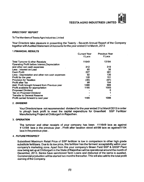#### **DIRECTORS' REPORT**

To The Members of Teesta Agro Industries Limited

Your Directors take pleasure in presenting the Twenty - Seventh Annual Report of the Company together with Audited Statement of Accounts for the year ended 31 st March, 2013

#### 1 *FIN A N C IA L R ESU LTS*

|                                                | <b>Current Year</b> | <b>Previous Year</b> |
|------------------------------------------------|---------------------|----------------------|
|                                                | ₹ Lacs              | ₹ Lacs               |
| <b>Total Turnover &amp; other Receipts</b>     | 11649               | 13184                |
| Operating Profit before Interest Depreciation  |                     |                      |
| and other non cash expenses                    | 312                 | 319                  |
| Less: interest on Loan                         | 85                  | 38                   |
| <b>Cash Profit</b>                             | 227                 | 281                  |
| Less: Depreciation and other non cash expenses | 92                  | 130                  |
| Profit for the year                            | 135                 | 151                  |
| <b>Provision for Taxation</b>                  | (36)                | (47)                 |
| <b>Profit after Tax</b>                        | 99                  | 104                  |
| Add: Profit brought forward from Previous year | 1086                | 989                  |
| Profit available for appropriation             | 1185                | 1093                 |
| <b>Proposed Dividend</b>                       |                     | 6                    |
| <b>Tax on Proposed Dividend</b>                |                     |                      |
| <b>Transfer to General Reserve</b>             |                     |                      |
| Profit carried forward to next year            | 1185                | 1086                 |
|                                                |                     |                      |

#### 2. *D IV ID E N D*

Your Directors have not recommended dividend for the year ended 31st March'2013 in order to plough back profit to meet the capital expenditure for Greenfield SSP Fertilizer Manufacturing Project at Chittorgarh in Rajasthan.

#### 3. OPERATION

The turnover and other receipts of your company has been  $\sqrt{3}$  11649 lacs as against  $\overline{\zeta}$  13184 lacs in the previous year . Profit after taxation stood at  $\overline{\zeta}$  99 lacs as against  $\overline{\zeta}$  104 lacs in the previous year...

#### 4. *F U T U R E P R O S P E C T*

Subsidised Maximum Retail Price of SSP fertilizer is low in comparison to other high grade substitute fertilizers. Due to its low price, this fertitizer has the farmers' acceptability within your company's marketing zone. Apart from this your company's Green Field SSP & GSSP Plant now being set up at Chittorgarh in the State of Rajasthan will be operational around the month of December, 2013. Banks have sanctioned Term Loans and disbursal of the same is awaited. Commercial production will be started two months thereafter. This will also add to the total profit earning of the Company.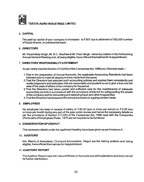

#### 5. *C A P IT A L*

The paid up capital of your company is increased to  $\bar{\tau}$  557 due to allotment of 530,000 number of Equity shares, on preferential basis.

#### 6. *D IR E C T O R S*

Mr. Paramdeep Singh, Mr. R.C. Wadhwa & Mr. Prem Singh retires by rotation in the forthcoming Annual General Meeting and, all being eligible, have offered themselves for re appointment.

#### 7. *D IR E C T O R S 'R E S P O N S IB IL IT Y S T A T E M E N T*

As per newly inserted Section 217(2AA) of the Companies Act, 1956 your Directors state :-

- 1.That in the preparation of Annual Accounts, the applicable Accounting Standards had been followed and no material departure have made from the same.
- 2.That the Directors had selected such accounting policies and applied them consistently and made judgement and estimates that are reasonable and prudent so as to give a true and fair view of the state of affairs of the company for the period.
- 3.That the Directors had taken proper and sufficient care for the maintenance of adequate accounting records in accordance with the provisions of this Act for safeguarding the assets of the company and for preventing and detecting fraud and other irregularities.
- 4. That the Directors had prepared the annual accounts on a going concern basis.

#### 8. **EMPLOYEES**

No employee has been in receipt of salary of  $\bar{\tau}$  60.00 lacs or more per annum or  $\bar{\tau}$  5.00 lacs or more per month during any part of the year under review and hence the necessary details as per the provisions of Section 217(2A) of the Companies Act, 1956 read with the Companies (Particulars of Employees) Rules, 1975 are not required to be furnished.

#### 9. **CONSERVATION OF ENERGY**

The necessary details under the captioned heading have been given as per Annexure A.

#### 10. **AUDITORS**

M/s. Mantry & Associates, Chartered Accountants, Siliguri are the retiring auditors and, being eligible, have offered themselves for reappointment.

#### 11. AUDITORS' REPORT

The Auditors' Report read with relevant Notes on Accounts are self explanatory and does not call for further clarification.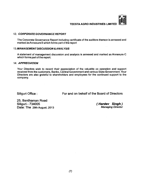

#### 12. CORPORATE GOVERNANCE REPORT

The Corporate Governance Report including certificate of the auditors thereon is annexed and marked as Annexure B which forms part of the report

#### 1 *Z .M A N A G E M E N T D IS C U S S IO N & A N A L Y S IS*

A statement of management discussion and analysis is annexed and marked as Annexure C which forms part of the report.

#### 14. *APPRECIATION*

Your Directors wish to record their appreciation of the valuable co operation and support received from the customers, Banks, Central Government and various State Government. Your Directors are also grateful to shareholders and employees for the continued support to the company.

Siliguri Office : For and on behalf of the Board of Directors

25, Bardhaman Road<br>Siliguri - 734005 **Date: The 29th August, 2013** 

**( Hardev Singh )**<br>Managing Director

 $\sim$   $_{\star}$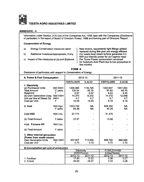

#### ANNEXURE-A

Information under Section 217(1 )(e) of the Companies Act, 1956 read with the Companies (Disclosure of particulars in the report of Board of Directors Rules), 1988 and forming part of Directors 'Report

#### Conservation of Energy

a) Energy Conservation measures taken

b) Additional Investments/proposals, if any

c) Impact of the measures at (a) and (b)above

} New motors, equipments light fittings added/  $\overline{\smash{)}\ }$  replaced during this year are energy efficient  $\overline{\smash{)}}\ \ \,$  Our waste heat steam turbine generates 0.5 } Our waste heat steam turbine generates 0.5<br>} MW eco-friendly power for our captive need } MW eco-friendly power for our captive need<br>} Per Tonne Power consumption remained } Per Tonne Power consumption remained<br>} for Sulphuric Acid Plant due to low produc for Sulphuric Acid Plant due to low production in few months.

FORM A

Disclosure of particulars with respect to Conservation of Energy

| A. Power & Fuel Consumption                 |            | 2012-13           |               | 2011-12           |           |
|---------------------------------------------|------------|-------------------|---------------|-------------------|-----------|
|                                             |            | <b>FERTILISER</b> | <b>S.ACID</b> | <b>FERTILISER</b> | S.ACID    |
| 1. Electricity                              |            |                   |               |                   |           |
| (a) Purchased Units                         | 000 KWH    | 1405.965          | 1116.725      | 1342.637          | 1007.263  |
| <b>Total Amount</b>                         | ₹Lakhs     | 120.54            | 95.75         | 87.63             | 65.75     |
| Rate/Unit                                   | ₹          | 8.57              | 8.57          | 6.53              | 6.53      |
| (b) Own Generation Units '000 KWH           |            | 14.370            | 8.372         | $-14.272$         | 12.048    |
| Unit per litre of Diesel Oil                | <b>KWH</b> | 4.7               | 4.7           | 4.7               | 4.7       |
| Cost per Unit.                              | ₹          | 10.03             | 10.03         | 9.18              | 9.18      |
|                                             |            |                   |               |                   |           |
| 2. Coal                                     | '000 Kgs.  | 1003.750          | <b>NA</b>     | 604.350           | <b>NA</b> |
|                                             | ₹ lakhs    | 69.26             | <b>NA</b>     | 40.28             | <b>NA</b> |
|                                             |            |                   |               |                   |           |
| $3.(a)$ HSD                                 | '000 Ltrs. | 57.774            |               | 31.475            |           |
|                                             |            |                   |               |                   |           |
| (b) Total Amount                            | ₹ lakhs    | 27.47             |               | 13.58             |           |
| 4.(a) Furnace Oil                           | '000 Ltrs. |                   |               |                   |           |
|                                             |            |                   |               |                   |           |
| (b) Total Amount                            | ₹ lakhs    |                   |               |                   |           |
|                                             |            |                   |               |                   |           |
| 5. Other internal generation                |            |                   |               |                   |           |
| (Power from waste steam)                    |            |                   |               |                   |           |
| <b>Own Generation Units</b>                 | '000 KWH   | 837.927           | 713.903       | 609.790           | 666.690   |
| Cost per Unit                               | ₹          | 0.70              | 0.70          | 0.70              | 0.70      |
| <b>B.Consumption per unit of production</b> |            |                   |               |                   |           |
|                                             |            | Electricity       |               | F.Oil/LDO/HSD     |           |
|                                             |            | (KWH/Tonne)       |               | (Litres/Tonne)    |           |
|                                             |            | 2012-13           | $2011 - 12$   | $2012 - 13$       | 2011-12   |
| 1. Fertiliser                               |            | 17.83             | 15.22         | 0.36              | 0.27      |
| 2. S.Acid                                   |            | 49.60             | 49.27         | 0.33              | 0.08      |
|                                             |            |                   |               |                   |           |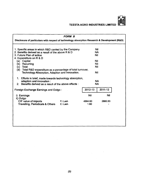

 $\mathcal{A}$ 

|                                                                                                                                                                                                                                                                                                                                                                                                                                     | <i>FORM B</i>     |                                                                          |           |
|-------------------------------------------------------------------------------------------------------------------------------------------------------------------------------------------------------------------------------------------------------------------------------------------------------------------------------------------------------------------------------------------------------------------------------------|-------------------|--------------------------------------------------------------------------|-----------|
| Disclosure of particulars with respect of technology absorption Research & Development (R&D)                                                                                                                                                                                                                                                                                                                                        |                   |                                                                          |           |
| 1. Specific areas in which R&D carried by the Company<br>2. Benefits derived as a result of the above R & D<br>3. Future Plan of action<br>4. Expenditure on R & D<br>(a) Capital<br>Recurring<br>(b)<br>Total<br>(c)<br>(d)<br>Total R&D expenditure as a percentage of total turnover,<br>Technology Absorption, Adaption and Innovation.<br>1. Efforts in brief, made towards technology absorption,<br>adaption and innovation: |                   | Nil<br><b>NA</b><br><b>Nil</b><br>Nil<br>Nil<br><b>Nil</b><br><b>Nil</b> | <b>NA</b> |
| 2. Benefits derived as a result of the above effects:                                                                                                                                                                                                                                                                                                                                                                               |                   |                                                                          | <b>NA</b> |
| Foreign Exchange Earnings and Outgo:                                                                                                                                                                                                                                                                                                                                                                                                |                   | 2012-13                                                                  | 2011-12   |
| <i>i</i> ) Earnings<br>ii) Outgo                                                                                                                                                                                                                                                                                                                                                                                                    |                   | Nil                                                                      | Nil       |
| CIF value of imports<br><b>Travelling, Periodicals &amp; Others</b>                                                                                                                                                                                                                                                                                                                                                                 | ₹/Lakh<br>₹/ Lakh | 4584.60<br>1.60                                                          | 2660.53   |
|                                                                                                                                                                                                                                                                                                                                                                                                                                     |                   |                                                                          |           |

÷.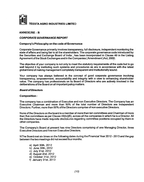

#### ANNEXURE- B

#### *C O R P O R A T E G O V E R N A N C E R E P O R T*

#### Company's Philosophy on the code of Governance

Corporate Governance primarily involves transparency, full disclosure, independent monitoring the state of affairs and being fair to all the shareholders. The corporate governance code introduced by the Securities and Exchange Board of India , has been incorporated in Clause 49 in the Listing Agreement of the Stock Exchanges and in the Companies (Amendment )Act, 2000.

The objective of your company is not only to meet the statutory requirements of the code but to go well beyond it by instituting such systems and procedures as are in accordance with the latest global trend of making management completely transparent and institutionally sound.

Your company has always believed in the concept of good corporate governance involving transparency, empowerment, accountability and integrity with a view to enhancing shareholder value. The company has professionals on its Board of Directors who are actively involved in the deliberations of the Board on all important policy matters.

#### **Board of Directors**

#### Composition:

The company has a combination of Executive and non Executive Directors. The Company has an Executive Chairman and more than 50% of the total number of Directors are Independent Directors. Further, more than 50% of the Directors comprise of non executive Directors.

None of the Directors on the board is a member of more than ten committees and Chairman of more than five committees as per Clause 49(iv)(B), across all the companies in which he is a Director. All the Directors have made requisite disclosures regarding committee positions occupied by them in other companies.

The Company's Board at present has nine Directors comprising of one Managing Director, three Executive Directors and five non Executive Directors.

NThe Board met six times on the following dates during the Financial Year 2012 - 2013 and the gap between the two meetings did not exceed four months.

a) April 30th, 2012 b) June 30th, 2012 c) July 31st, 2012 d) August 2nd, 2012 e) October 31st, 2012 f) January 31st, 2013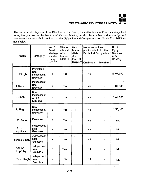

**The names and categories of the Directors on the Board, their attendance at Board meetings held during the year and at the last Annual Genera! Meeting as also the number of directorships and committee positions as held by them in other Public Limited Companies as on March 31st, 2013 are given below**

| Name                 | Category                                                    | No. of<br>Board<br>Meetings<br>attended<br>during<br>2011-12 | Whether<br>attended<br><b>AGM</b><br>held on<br>30.09.11 | No. of<br>Director<br>ship in<br>other<br>Public Ltd.<br>Companies | No. of committee<br>positions held in other<br>Public Ltd.Companies<br>Chairman | <b>Member</b> | No. of<br>Equity<br>Share held<br>in the<br>Company |
|----------------------|-------------------------------------------------------------|--------------------------------------------------------------|----------------------------------------------------------|--------------------------------------------------------------------|---------------------------------------------------------------------------------|---------------|-----------------------------------------------------|
| H. Singh             | Promoter &<br><b>Non</b><br>Independent<br><b>Executive</b> | 6                                                            | Yes                                                      | 1<br>J.                                                            | <b>NIL</b>                                                                      |               | 15,97,790                                           |
| J. Kaur              | Independent<br>Non<br><b>Executive</b>                      | 6                                                            | Yes                                                      | 1                                                                  | <b>NIL</b>                                                                      |               | 587,600                                             |
| I. Singh             | <b>Non</b><br>Independent<br>& Non<br><b>Executive</b>      | 6                                                            | Yes                                                      | 1                                                                  | <b>NIL</b>                                                                      |               | 1,49,000                                            |
| P. Singh             | <b>Non</b><br>Independent<br><b>Executive</b>               | 6                                                            | Yes                                                      | 1                                                                  | <b>NIL</b>                                                                      |               | 1,55,100                                            |
| U. C. Sahoo          | <b>Executive</b>                                            | 6                                                            | Yes                                                      |                                                                    | <b>NIL</b>                                                                      |               | <b>NIL</b>                                          |
| R. C.<br>Wadhwa      | Independent<br>Non<br><b>Executive</b>                      |                                                              | <b>No</b>                                                |                                                                    | <b>NIL</b>                                                                      |               | <b>NIL</b>                                          |
| <b>Thakur Singh</b>  | Independent<br><b>Non</b><br>Executive                      |                                                              | <b>No</b>                                                |                                                                    | <b>NIL</b>                                                                      |               | <b>NIL</b>                                          |
| Anil Kr.<br>Tripathy | Independent<br>Non<br><b>Executive</b>                      | 6                                                            | Yes                                                      |                                                                    | <b>NIL</b>                                                                      |               | <b>NIL</b>                                          |
| Prem Singh           | Independent<br>Non.<br><b>Executive</b>                     |                                                              | <b>No</b>                                                | -                                                                  | <b>NIL</b>                                                                      |               | <b>NIL</b>                                          |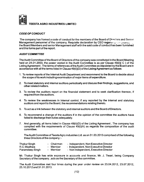

#### *C O D E O F C O N D U C T*

The company has framed a code of conduct for the members of the Board of Directors and Senior Management personnel of the company. Requisite declaration by CEO regarang companied the Board Members and senior Management staff with the said code of conduct has been furnished and this forms part of the report.

#### *A U D IT C O M M IT T E E*

The Audit Committee of the Board of Directors of the company was constituted in the Board Meeting held on 24.01.2003, the power vested in the Audit Committee is as per Clause 49(ii)( C ) of the Listing Agreement. The terms of references of the Audit Committee as stipulated by the Board are in accordance with all the terms listed in Clause 49(ii)(D) of the Listing Agreement as follows

- 1. To review reports of the Internal Audit Department and recommend to the Board to decide about the scope of its work including examination of major items of expenditure.
- 2. To meet statutory and internal auditors periodically and discuss their findings, suggestions, and other related matters.
- 3. To review the auditors report on the financial statement and to seek clarification thereon, if required from the auditors.
- 4. To review the weaknesses in internal control, if any reported by the internal and statutory auditors and report to the Board, the recommendations relating thereto.
- 5. To act as a link between the statutory and internal auditors and the Board of Directors.
- 6. To recommend a change of the auditors if in the opinion of the committee the auditors have failed to discharge their duties adequately.
- 7. And generally, all items listed in Clause  $49(ii)(D)$  of the Listing Agreement. The company has complied with the requirements of Clause 49(i)(A) as regards the composition of the audit committee.

The Audit Committee of Teesta Agro industries Ltd. as on 31.03.2013 comprised of the following three Directors of the company

| Thakur Singh    | - Chairman | - Independent, Non Executive Director |
|-----------------|------------|---------------------------------------|
| R.C.Wadhwa      | - Member   | - Independent, Non Executive Director |
| Paramdeep Singh | Member     | - Non Independent, Executive Director |

Mr. Thakur Singh has wide exposure in accounts and finance, Mr. J. Tiwari, being Company Secretary of the company, acts as the Secretary of the committee.

The Audit Committee met four times during the year under review on 23.04.2012, 23.07.2012, 25.10.2012and31.01.2013.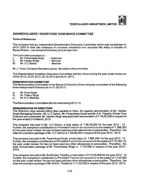#### *S H A R E H O L D E R S '/IN V E S T O R S 'G R IE V A N C E C O M M ITTE E*

#### Terms of Reference

The company has an, independent Shareholders Grievance Committee which was constituted on 24.01.2003 to look into redressa! of investors complaints and requests like delay in transfer of Equity Shares, non receipt of dividend, annual report etc.

The Committee comprises of :-<br>i) Mr. Paramdeep Singh

- i) Mr. Paramdeep Singh Chairman<br>ii) Mr. Hardey Singh Member
- ii) Mr. Hardev Singh The Member<br>iii) Mr. U.C. Sahoo The Member
- Mr. U.C.Sahoo

Mr. J. Tiwari, Company Secretary acts as Secretary to the committee.

The Shareholders/ Investors Grievance Committee met four times during the year under review on 23.04.2012,23.07.2012,25.10.2012and24.01.2013..

#### **REMUNERATION COMMITTEE**

The Remuneration Committee of the Board of Directors of the company comprised of the following three independent Directors as on 31.03.2013:

- a) Mr. Prem Singh
- b) Mr. Thakur Singh<br>c) Mr. R.C. Wadhwa
- Mr. R.C. Wadhwa

The Remuneration Committee did not meet during 2012-13.

#### **REMUNERATION OF DIRECTORS**

The Directors have waived sitting fees payable to them. As regards remuneration of Mr. Hardev Singh Managing Director, Mr. U.C.Sahoo, Mr. Paramdeep Singh and Mr. A.K. Tripathy, Whole Time Directors are concerned, Mr. Hardev Singh was paid total remuneration of ₹78,00,000 in respect of the year ended 31st March, 2013.

The company has paid to Mr. U.C.Sahoo, a total salary of  $\bar{\tau}$  26,00,000 for the year 2012 - 13. Further, the company's contribution to Provident Fund on his account is to the extent of  $\bar{\tau}$  288,000 for the year under review. He has not been paid any other allowances or perquisites. Therefore, the total remuneration package of Mr. U.C.Sahoo is ? 28,88,000 in respect of the year 2012-2013.

The company has paid to Mr. Paramdeep Singh, a total salary of  $\bar{\tau}$  650,000 for the year 2012 - 13. Further, the company's contribution to Provident Fund on his account is to the extent of  $\bar{\tau}$  72,000 for the year under review. He has not been paid any other allowances or perquisites . Therefore , the total remuneration package of Mr. Paramdeep Singh is  $\bar{\tau}$  722,000 in respect of the year 2012 -2013.

The company has paid to Mr. Anil Kumar Tripathy, a total salary of  $\bar{\tau}$  12,90,000 for the year 2012 - 13 Further, the company's contribution to Provident Fund on his account is to the extent of  $z$ 142,650 for the year under review. He has not been paid any other allowances or perquisites. Therefore, the total remuneration package of Mr. Anil Kr. Tripathy is ? 14,32,650 in respect ofthe year 2012-2013.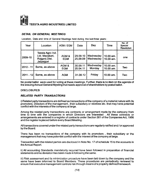

#### *DETAIL ON GENERAL MEETINGS*

Location, Date and time of General Meetings held during the last three years:

| Year        | Location                                                          | AGM / EGM           | Date                 | Day                    | Time                     | No. of<br>Special<br><b>Resolution</b> |
|-------------|-------------------------------------------------------------------|---------------------|----------------------|------------------------|--------------------------|----------------------------------------|
| 2009-10     | Teesta Agro Ind.<br>Ltd. Mazabari,<br>Rajganj Dist.<br>Jalpaiguri | AGM &<br><b>EGM</b> | 29.09.10<br>25,09.09 | Wednesday<br>Wednesday | 10.00 am.<br>10.00 am.   | one                                    |
| $2010 - 11$ | Same, as above                                                    | AGM &<br><b>EGM</b> | 30.09.11<br>25.04.11 | Wednesday<br>Monday    | 10.00 am.<br>10.00 $am.$ | Two                                    |
| $2011 - 12$ | Same, as above                                                    | <b>AGM</b>          | 31.08.12             | Friday                 | 10.00 am.                | Two                                    |

No postal ballot were used for voting at these meetings. Further, there is no item on the agenda of the ensuing Annual General Meeting that needs approval of shareholders by postal ballot.

#### **DISCLOSURES**

#### **RELATED PARTY TRANSACTIONS**

i) Related party transactions are defined as transactions of the company of a material nature with its promoters. Directors of the management, their subsidiary or relatives etc. that may have potential conflict with the interests of the company at large.

Among the related party transactions are contracts or arrangement made by the company from time to time with the companies in which Directors are interested . All these contracts or arrangements are entered in a register of contracts under Section 301 of the Companies Act, 1956 and the register is placed before every Board Meeting.

All transactions covered under the related party transactions are regularly ratified and / or approved by the Board.

There has been no transactions of the company with its promoters , their subsidiary or the management that may have potential conflict with the interest of the company at large.

Transaction with the related parties are disclosed in Note No. 17 of schedule 15 to the accounts in the Annual Report.

ii) All accounting Standards mandatorily required have been followed in preparation of financial statements and no deviation has been made in following the same.

iii) Risk assessment and its minimization procedure have been laid down by the company and the same have been informed to Board Members. These procedures are periodically reviewed to ensure that executive management controls risk through means of a property defined framework.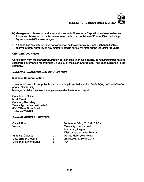- iv) Management discussion and analysis forms part ofthe Annual Report to the shareholders and it includes discussion on matters as required under the provisions of Clause 49 ofthe Listing Agreement with Stock exchanges.
- v) No penalties or strictures have been imposed on the company by Stock Exchanges or SEBl or any statutory authority on any matter related to capital markets during the last three years.

#### *C E O C E R T IF IC A T IO N*

Certification from the Managing Director, covering the financial aspects, as required under revised corporate governance report under Clause 49 of the Listing Agreement, has been furnished to the company.

#### **GENERAL SHAREHOLDER INFORMATION**

#### Means of Communication

The quarterly results are published in the leading English daily (The Asian Age) and Bengali news paper (Dainik Lipi) Management discussion and analysis is a part of the Annual Report.

Compliance Officer: Mr. J. Tiwari Company Secretary Teesta Agro industries Limited 63/1/2 Sarat Bose Road, Koikata-700 025

#### *A N N U A L G E N E R A L M E E T IN G*

| Date & Time                       | September 30th, 2013 at 10.00 am. |
|-----------------------------------|-----------------------------------|
| Venue<br>٠                        | <b>Teesta Agro Industries Ltd</b> |
|                                   | Mazabari, Rajganj                 |
|                                   | Dist. Jaipaiguri, West Bengal     |
| <b>Financial Calendar</b><br>٠    | April to March, every year        |
| Date of Book Closure<br>٠         | 23.09.2013 to 30.09.2013          |
| <b>Dividend Payment Date</b><br>٠ | ΝA                                |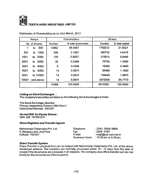

|       | Range         |               | Shareholders        |         | Shares          |
|-------|---------------|---------------|---------------------|---------|-----------------|
|       | No. of Shares | <b>Number</b> | % total shareholder | Number  | % total capital |
| 1     | 500<br>to     | 13852         | 96.4087             | 1792512 | 31.9521         |
| 501   | 1000<br>to    | 306           | 2.1297              | 260732  | 4.6476          |
| 1001  | -2000<br>to   | 133           | 0.9257              | 215813  | 3.8469          |
| 2001  | 3000<br>to    | 30            | 0.2088              | 75706   | 1.3495          |
| 3001  | 4000<br>to    | 5             | 0.0348              | 19300   | 0.3440          |
| 4001  | 5000<br>to    | 14            | 0.0974              | 66480   | 1.1850          |
| 5001  | to 10000      | 14            | 0.0974              | 106449  | 1.8975          |
| 10001 | and above     | 14            | 0.0974              | 3073008 | 54.7773         |
|       |               | 14368         | 100.0000            | 5610000 | 100.0000        |

Distribution of Shareholding as on 31st March, 2012

#### **Listing on Stock Exchanges:**

The company's securities are listed on the following Stock Exchanges in India:

The Stock Exchange, Mumbai Phiroze Jeejeebhoy Towers ( 28th Floor) Dalai Street Mumbai - 400 001

#### *De mat ISIN for Equity Shares:*

ISIN INE 757D01011

#### **Share Registrar and Transfer Agents**

| Maheshwari Datamatics Pvt. Ltd. | Telephone | $: 2243 - 5029/5809$                              |
|---------------------------------|-----------|---------------------------------------------------|
| 6, Mangoe Lane, 2nd Floor       | Fax       | :2248 - 4787                                      |
| Kolkata - 700 001               | E Mail    | : mdpl@cal.vsnl.net.in                            |
|                                 |           | Business Hours $\therefore$ 10.00 am. to 5.30 pm. |

#### **Share Transfer System**

Share Transfer in physical form can be lodged with Maheshwari Datamatics Pvt. Ltd. at the above mentioned address. The transfers are normally processed within 10-12 days from the date of receipt if the documents are complete in all respects. The company also offers transfer cum de mat facility for the convenience of the investors.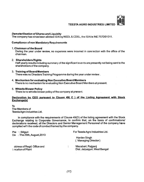

#### *Dematerilisation of Shares and Liquidity*

The company has since been allotted ISIN by NSDL& CDSL, the ISIN is INE 757D01011.

#### **Compliance of non Mandatory Requirements**

#### 1. Chairman ofthe Board

During the year under review, no expenses were incurred in connection with the office of the chairman.

#### 2. Shareholders Rights

Half yearly results including summary of the significant events are presently not being sent to the shareholders of the company.

#### 3. Training of Board Members

There was no Directors Training Programme during the year under review .

#### 4. Mechanism for evaluating Non Executive Board Members

There is no mechanism for evaluating Non Executive Board Members at present.

#### 5. Whistle Blower Policy

There is no whistle blower policy of the company at present.

### Declaration by CEO pursuant to Clause 49( C ) of the Listing Agreement with Stock<br>Exchange(s)

To The Members of Teesta Agro industries Ltd.

In compliance with the requirements of Clause 49(D) of the listing agreement with the Stock Exchange relating to Corporate Governance, to confirm that, on the basis of confirmations/ declarations received, all the Directors and Senior Management Personnel of the company have complied with the code of conduct framed by the company.

| Place: Siliguri<br>Da : The 29th, August, 2013  | For Teesta Agro Industries Ltd.                    |  |  |
|-------------------------------------------------|----------------------------------------------------|--|--|
|                                                 | Hardev Singh<br>(Managing Director)                |  |  |
| ddress of Regd. Office and<br>Location of Plant | Mazabari, Rajganj<br>Dist. Jaipaiguri, West Bengal |  |  |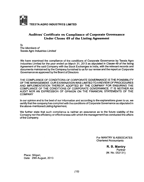

#### **Auditors' Certificate on Compliance of Corporate Governance Under Clause 49 of the Listing Agreement**

*To* **The Members of Teesta Agro Industries Limited** 

We have examined the compliance of the conditions of Corporate Governance by Teesta Agro Industries Limited for the year ended on March 31, 2013 as stipulated in Clause 49 of the listing Agreement of the said Company with the Stock Exchanges in India, with the relevant records and documents maintained by the Company furnished to us for our review and the report on Corporate Governance as approved by the Board of Directors

THE COMPLIANCE OF CONDITIONS OF CORPORATE GOVERNANCE IS THE PONSIBILITY OF THE MANAGEMENT. OUR EXAMINATION WAS LIMITED TO A REVIEW OF PROCEDURES AND IMPLEMENTATION THEREOF. ADOPTED BY THE COMPANY FOR ENSURING THE COMPLIANCE OF THE CONDITIONS OF CORPORATE GOVERNANCE. IT IS NEITHER AN AUDIT NOR AN EXPRESSION OF OPINION ON THE FINANCIAL STATEMENTS OF THE **COMPANY** 

In our opinion and to the best of our information and according to the explanations given to us, we certify that the company has complied with the conditions of Corporate Governance as stipulated in the above-mentioned Listing Agreement.

We further state that such compliance is neither an assurance as to the future viability of the Company nor the efficiency or effectiveness with which the management has conducted the affairs of the Company.

> For MANTRY & ASSOCIATES Chartered Accountants

> > **R. B. Mantry Partner** (M. No. 052131)

Place: Siliguri, Date: 29th August, 2013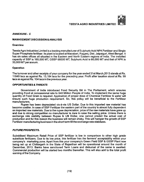

#### *A N N E X U R E - C*

#### MANAGEMENT DISCUSSION & ANALYSIS

#### **Overview**

Teesta Agro Industries Limited is a leading manufacturer of Sulphuric Acid NPK Fertiliser and Single Super Phosphate fertiliser. Its plant is located at Mazabari, Rajganj, Dist. Jalpaiguri, West Bengal. It has six sales offices all situated in the Eastern and North Eastern regions of India. The installed capacity of SSP is 165,000 MT, GSSP 66000 MT, Sulphuric Acid is 66,000 MT and that of NPK is 33,000 MT per annum.

#### **Operation**

The turnover and other receipts of your company for the year ended 31st March,2013 stands at Rs. 11649 lacs as against Rs. 13,184 lacs for the preceding year. Profit after taxation stood at Rs. 99 lacs as against Rs. 104 lacs in the previous year.

#### *OPPORTUNITIES & THREATS*

Government of India introduced Food Security Bill in The Parliament, which ensures providing Food at concessional rate to 840 Million People of India. To implement the same huge quantity of Food Grain is required. Application of proper dose of Chemical Fertilizer & water will ensure such huge production requirement. So, this policy will be beneficial to the Fertilizer manufacturers.

Rupee has been depreciated vis-a-vis US Dollar. Due to this imported raw material has become costlier. In case of SSP Fertilizer the eastern part of the country is almost fully dependent on imported raw materials. Due to the rupee depreciation, price of the raw materials have gone up and due to strong competition no manufacturer is dare to raise the selling price. Unless there is exchange rate stability between Rupee & US Dollar, one cannot predict the actual cost of production and for this reason the business will remain shaky. This will hamper the growth of SSP Fertilizer manufacturing business in the short term till the exchange rate stabilizes.

#### **FUTURE PROSPECTS.**

Subsidised Maximum Retail Price of SSP fertilizer is low in comparison to other high grade substitute fertilizers. Due to its low price, this fertilizer has the farmers' acceptability within your company's marketing zone. Apart from this your company's Green Field SSP & GSSP Plant now being set up at Chittorgarh in the State of Rajasthan will be operational around the month of December, 2013. Banks have sanctioned Term Loans and disbursal of the same is awaited. Commercial production will be started two months thereafter. This will also add to the total profit earning of the Company.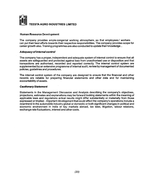

#### Human Resource Development

The company provides ample congenial working atmosphere, so that employees/ workers can put their best efforts towards their respective responsibilities. The company provides scope for career growth also. Training programmes are also conducted to update their knowledge..

#### *A d e q u a c y o f In te r n a l c o n tr o l*

The company has a proper, independent and adequate system of internal control to ensure that all assets are safeguarded and protected against loss from unauthorised use or disposition and that transactions are authorised, recorded and reported correctly. The internal control system are supplemented by an extensive programme of internal audit, review by management of documented policies, guidelines and procedures.

The internal control system of the company are designed to ensure that the financial and other records are reliable for preparing firtancial statements and other data and for maintaining accountability of assets.

#### *Cautionary Statement*

Statements in the Management Discussion and Analysis describing the company's objectives, projections, estimates and explanations may be forward looking statements within the meaning of applicable laws and regulations actual results might differ substantially or materially from those expressed or implied . Important development that could affect the company's operations include a downtrend in the automobile industry global or domestic or both significant changes in political and economic environment in India or key markets abroad, tax laws, litigation, labour relations, exchange rate fluctuations, interest and other costs.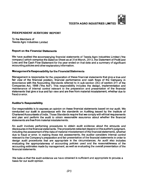#### **INDEPENDENT AUDITORS' REPORT**

To the Members of Teesta Agro Industries Limited

#### Report on the Financial Statements

We have audited the accompanying financial statements of Teesta Agro Industries Limited ('the company') which comprise the Balance Sheet as at 31st March, 2013, the Statement of Profit and Loss and the Cash Flow Statement for the year ended on that date and a summary of significant accounting policies and other explanatory information.

#### Management's Responsibility for the Financial Statements

Management is responsible for the preparation of these financial statements that give a true and fair view of the financial position, financial performance and cash flows of the Company in accordance with the Accounting Standards referred to in sub-section (3C) of section 211 of the Companies Act, 1956 ("the Act"). This responsibility includes the design, implementation and maintenance of internal control relevant to the preparation and presentation of the financial statements that give a true and fair view and are free from material misstatement, whether due to fraud or error.

#### Auditor's Responsibility

Our responsibility is to express an opinion on these financial statements based on our audit. We conducted our audit in accordance with the standards on Auditing.issued by the Institute of Chartered Accountants of India. Those Standards require that we comply with ethical requirements and plan and perform the audit to obtain reasonable assurance about whether the financial statements are free from material misstatements.

An audit involves performing procedures to obtain audit evidence about the amounts and disclosures in the financial statements. The procedures selected depend on the auditor's judgment, including the assessment of the risks of material misstatement of the financial statements, whether due to fraud or error. In making those risk assessments, the auditor considers internal control relevant to the Company's preparation and fair presentation of the financial statements in order to design audit procedures that are appropriate in the circumstances. An audit also includes evaluating the appropriateness of accounting policies used and the reasonableness of the accounting estimates made by management, as well as evaluating the overall presentation of the financial statements.

We believe that the audit evidence we have obtained is sufficient and appropriate to provide a basis for our audit opinion.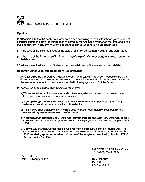

#### **Opinion**

In our opinion and to the best of our information and according to the explanations given to us, the financial statements give the information required by the Act in the manner so required and give a true and fair view in conformity with the accounting principles generally accepted in India;

- (i) In the case of the Balance Sheet, of the state of affairs of the Company as at 31st March,  $2013$ ;
- (i) In the case of the Statement of Profit and Loss, of the profit ofthe company for the year ended on that date; and
- (ii) In the case ofthe Cash Flow Statement, ofthe cash flows forthe year ended on that date.

#### **Report on Other Legal and Regulatory Requirements**

- 1. As required by the Companies (Auditor's Report) Order, 2003 ("the Order") issued by the Central Government of India in terms of sub-section (4A) of Section 227 of the Act, we give in tne Annexure a statement on the matters specified in Paragraphs 4 and 5 of the Order.
- 2. As required by section 227(3) of the Act, we report that:
	- a) We have obtained all the information and explanations, which to the best of our knowledge and belief were necessary for the purpose of our audit;
	- b) In our opinion, proper books of accounts as required by the law have been kept by the Company so far as appears from our examination of those books;
	- c) The Balance Sheet, Statement of Profit and Loss and Cash Flow Statement dealt with by this report are in agreement with the books of accounts;
	- d) In our opinion, the Balance Sheet, Statement of Profit and Loss and Cash Flow Statement comply with the Accounting Standards referred to in sub section (3C) of Section 211 ofthe Companies Act, 1956;
	- e) On the basis of written representations received from the directors as on 31st March, 20  $\sim$  and taken on record by the Board of Directors, none of the directors is disqualified as on 31st March, 2013 from being appointed as a director in terms of clause (g) of sub-section (1) of section 274 of the Companies Act, 1956.

For MANTRY & ASSOCIATES Chartered Accountants

Place: Siliguri, Date: 29th August, 2013 R.B. Mantry

Partner (M. No. 052131)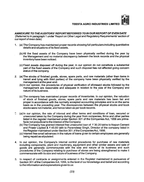#### *A N N E X U R E T O T H E A U D IT O R S 'R E P O R T R E F E R R E D T O IN O U R R E P O R T O F E V E N D A T E*

(Referred to in paragraph 1 under 'Report on Other Legal and Regulatory Requirements' section of our report of even date)

- 1. (a) The Company has maintained proper records showing full particulars including quantitative details and situations of its fixed assets.
	- (b)AII the fixed assets of the Company have been physically verified during the year by the Management and no material discrepancy between the book records and the physical inventory have been noticed.
	- (c) Fixed assets disposed off during the year, in our opinion do not constitute a substantial part of the fixed assets of the Company and such disposal has not affected going concern status of the company.
- 2. (a) The stocks of finished goods, stores, spare parts, and raw materials (other than itenns in transit and lying with third parties) of the company have been physically verified by the management at the year-end.
	- (b) In our opinion, the procedures of physical verification of aforesaid stocks followed by the management are reasonable and adequate in relation to the size of the Company and nature of its business.
	- (c) The company has maintained proper records of inventories. In our opinion, the valuation of stock of finished goods, stores, spare parts and raw materials has been fair and proper in accordance with the normally accepted accounting principles and is on the same basis as in the preceding year. The discrepancies between the physical stocks and book stocks were not material, and hence taken as per book records.
- C (a) In our opinion, the rate of interest and other terms and conditions of loan, secured or unsecured taken by the Company during the year from companies, firms and other parties listed in the register maintained under Section 301 of the Companies Act, 1956 are primafacie not prejudicial to the interest of the Company.
	- (b) The Company has granted interest free unsecured loan of  $\bar{\tau}$  30.20 lakhs to Nepun Cement and Power Limited &  $\bar{\tau}$  45.00 lakh to Paramdeep Singh, Director of the company listed in the Register maintained under Section 301 of the Companies Act, 1956.
	- (c) Interest free small advances in the nature of loans given to certain employees are generally being repaid as stipulated.
- 4. In our opinion, the Company's internal control procedures for purchase of raw materials including components, plant and machinery, equipment and other similar assets and sale of goods are generally commensurate with the size and nature of its business and such procedures of the Company relating to purchase of stores are being strengthened to make it commensurate with its size and nature of business of the Company.
- 5. In respect of contracts or assignments entered in the Register maintained in pursuance of Section 301 of the Companies Act, 1956, to the best of our knowledge and belief and according to the information and explanations given to us: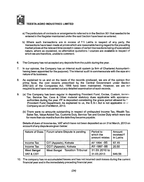

- a) The particulars of contracts or arrangements referred to in the Section 301 that needed to be entered in the Register maintained under the said Section have been so entered.
- b) Where such transactions are in excess of  $\bar{z}$  5 Lakhs in respect of any party, the transactions have been made at prices which are reasonable having regard to the prevailing market prices at the relevant time except in cases of certain transactions being of specialized natura, where as explained, no alternative quotations / sources are available in respect of which we are therefore, unable to comment.
- 6. The Company has not accepted any deposits from the public during the year.
- 7. In our opinion, the Company has an internal audit system (a firm of Chartered Accountants having been appointed for the purpose). The internal audit is commensurate with the size and nature of its business.
- 8. As explained to us and on the basis of the records produced, we are of the opinion that prima facie, the cost records prescribed by the Central Government under Section 209(1 ){d) of the Companies Act, 1956 have been maintained. However, we are not required to and have not carried out any detailed examination of such records.
- 9. (a) The Company has been regular in depositing Provident Fund, Excise, Custom, Incorne Tax, Service Tax, Cess & Other material statutory dues applicable with appropnav authorities during the year. PF is deposited considering the grace period allowed by the Provident Fund Department. As explained to us, the E.S.I. Act is not applicable to *it'.* Companyas on 31st March, 2013.
	- (b) There were no amounts outstanding in respect of undisputed Income Tax, Wealth Tax, Sales Tax, Value Added Tax, Customs Duty, Service Tax and Excise Duty which were due for more than six months from the date they became payable.

Details of dues of Income-tax, VAT which have not been deposited as on 31st March, 2013 on account of any dispute are given below;

| <b>Nature of Dues</b> | Forum where Dispute is pending | Period to<br>which the<br>amount relates | Amount<br>involved₹<br>In Lakhs |
|-----------------------|--------------------------------|------------------------------------------|---------------------------------|
| Income Tax            | CIT (Appeals), Koikata         | AY 1994 - 95                             | 87.15                           |
| Income Tax            | CCIT (Appeals), Koikata        | AY-1997-98                               | 20.50                           |
| <b>West Bengal</b>    | West Bengal Taxation Tribunal  | 31.03.2010 to                            |                                 |
| VAT & CST             |                                | 31.03.2013                               | 649.58                          |

10. The company has no accumulated losses and has not incurred cash losses during the current financial year and in the immediately preceding financial year.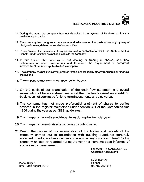

- 11. During the year, the company has not defaulted in repayment of its dues to financial institutions and banks.
- 12. The company has not granted any loans and advances on the basis of security by way of pledge of shares, debentures and other securities.
- 13. In our opinion, the provisions of any special statue applicable to Chit Fund, Nidhi or Mutual Benefit Fund/Societies are not applicable to the company.
- 14. In our opinion the company is not dealing or trading in shares, securities, debentures or other investments and therefore, the requirement of paragraph 4(xiv) of the Crder is not applicable to the company.
- 15. The company has not given any guarantee for the loans taken by others from banks or financial institutions.
- 16. The company has not taken any term loan during the year.
- **17. On the basis of our examination of the cash flow statement and overall** examination of balance sheet, we report that the funds raised on short-term **basis have not been used for long-term investments and vice versa.**
- 18. The company has not made preferential allotment of shares to parties covered in the register maintained under section 301 of the Companies Act, 1956 during the year as per SEBI guidelines.
- **19. The company has not issued debentures during the financial year.**
- 20. The company has not raised any money by public issue.
- 21. During the course of our examination of the books and records of the company carried out in accordance with auditing standards generally accepted in India, we have neither come across any instance of fraud by the company noticed or reported during the year nor have we been informed of such case by management.

For MANTRY & ASSOCIATES Chartered Accountants

Place: Siliguri, Place: Siliguri, Partner Partner (M. No. 052131)<br>Date: 29th August. 2013 No. 2008 Date: 29th August, 2013

R. B. Mantry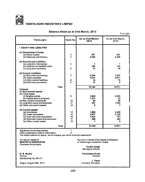

 $\bar{\bar{z}}$ 

#### **TEESTA AGRO INDUSTRIES LIMITED**

| <b>Balance Sheet as at 31st March, 2013</b> |  |  |  |  |  |  |
|---------------------------------------------|--|--|--|--|--|--|
|---------------------------------------------|--|--|--|--|--|--|

? in Lakh

| Particulars                                                                                                                                                                                           | Note No                      | As at 31st March,<br>2013                   | As at 31st March,<br>2012         |
|-------------------------------------------------------------------------------------------------------------------------------------------------------------------------------------------------------|------------------------------|---------------------------------------------|-----------------------------------|
| <b>I. EQUITY AND LIABILITIES</b>                                                                                                                                                                      |                              |                                             |                                   |
| (1) Shareholder's Funds<br>(a) Share Capital<br>(b) Reserves and Surplus                                                                                                                              | 3<br>$\overline{\mathbf{A}}$ | 557<br>3,669                                | 557<br>3.295                      |
| (2) Non-Current Liabilities<br>(a) Long-term borrowings<br>(b) Deferred tax liabilities (Net)<br>(c) Long term provisions                                                                             | 5<br>6                       | 166<br>17                                   | 1<br>163<br>18                    |
| (3) Current Liabilities<br>(a) Short-term borrowings<br>(b) Trade payables<br>(c) Other current liabilities<br>(d) Short-term provisions                                                              | 7<br>8<br>6                  | 2,246<br>5,511<br>14<br>11                  | 1.937<br>4,617<br>15<br>8         |
| Total<br><b>il.Assets</b>                                                                                                                                                                             |                              | 12.192                                      | 10.611                            |
| (1) Non-current assets<br>(a) Fixed assets<br>(i) Tangible assets<br>(ii) Capital work-in-progress<br>(b) Non-current investments<br>(c) Long term loans and advances<br>(d) Other non-current assets | 9<br>10<br>11<br>12          | 3,620<br>1,371<br>58<br>347<br>8            | 2,090<br>22<br>58<br>1,550<br>Q   |
| (2) Current assets<br>(a) Inventories<br>(b) Trade receivables<br>(c) Cash and cash equivalents<br>(d) Short-term loans and advances<br>(e) Other current assets                                      | 13<br>14<br>15<br>11<br>16   | 1,995<br>2,617<br>1,525<br>650<br>1         | 2,499<br>3,129<br>781<br>464<br>9 |
| Total                                                                                                                                                                                                 |                              | 12,192                                      | 10,611                            |
| Significant accounting policies<br>Other explanatory notes & information<br>The Notes referred to above are an integral part of the financial statements.<br>For and on behalf of                     | 1<br>$\overline{2}$          | For and on behalf of the Board of Directors |                                   |
| <b>MANTRY &amp; ASSOCIATES</b><br>of Teesta Agro Industries Limited                                                                                                                                   |                              |                                             |                                   |

Chartered Accountants

R. B. Mantry Paramdeep Singh Partner Director (2001) and the contract of the contract of the contract of the Director  $\Gamma$ Membership No.052131

Siliguri, August 29th, 2013

Hardev Singh Managing Director

J. Tiwari<br>Company Secretary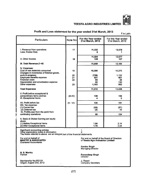#### Profit and Loss statement for the year ended 31st March, 2013

? in Lakh

| Particulars                                                                                                                                               | Note No    | For the Year ended<br>31st March, 2013                                           | For the Year ended<br>31st March, 2012 |
|-----------------------------------------------------------------------------------------------------------------------------------------------------------|------------|----------------------------------------------------------------------------------|----------------------------------------|
| I. Revenue from operations<br>Less: Excise Duty                                                                                                           | 17         | 11,532<br>8                                                                      | 13,078<br>1                            |
| II. Other Income                                                                                                                                          | 18         | 11,524<br>125                                                                    | 13,077<br>107                          |
| III. Total Revenue (1 +II)                                                                                                                                |            | -11,649                                                                          | 13,184                                 |
| IV. Expenses:<br>Cost of raw materials consumed                                                                                                           | 19         | 10,388                                                                           | 10,275                                 |
| Changes in inventories of finished goods,<br>work-in-progress<br>Employee benefits expense                                                                | 20<br>21   | (739)<br>521                                                                     | 1,132<br>461                           |
| <b>Financial costs</b><br>Depreciation and amortization expense<br>Other expenses                                                                         | 22<br>23   | 85<br>92<br>1,163                                                                | 38<br>130<br>992                       |
| <b>Total Expenses</b>                                                                                                                                     |            | 11.510                                                                           | 13.028                                 |
| V. Profit before exceptional &<br>extraordinary items and tax<br><b>VI. Exceptional Items</b>                                                             | $(III-IV)$ | 139<br>4                                                                         | 156<br>5                               |
| VII. Profit before tax                                                                                                                                    | $(V - VI)$ | 135                                                                              | 151                                    |
| VIII. Tax expense:<br>(1) Current tax<br>(2) Deferred tax<br>IX. Profit(Loss) from the perid from                                                         |            | (33)<br>(3)                                                                      | (57)<br>10                             |
| continuing operations                                                                                                                                     |            | 99                                                                               | 104                                    |
| X. Basic & Diluted Earning per equity<br>share:<br>(1) Before Exceptional items<br>(2) After Exceptional items                                            |            | 1.86<br>1.78                                                                     | 2.14<br>2.04                           |
| Significant accounting policies<br>Other explanatory notes & information<br>The Notes referred to above are an integral part of the financial statements. |            | 1<br>$\overline{2}$                                                              |                                        |
| For and on behalf of<br><b>MANTRY &amp; ASSOCIATES</b><br><b>Chartered Accountants</b>                                                                    |            | For and on behalf of the Board of Directors<br>of Teesta Agro Industries Limited |                                        |
|                                                                                                                                                           |            | <b>Hardev Singh</b><br>Managing Director                                         |                                        |
| R. B. Mantry<br>Partner                                                                                                                                   |            | Paramdeep Singh<br>Director                                                      |                                        |
| Membership No.052131<br>Siliguri, August 2nd, 2012                                                                                                        |            | J. Tiwari<br>Company Secretary                                                   |                                        |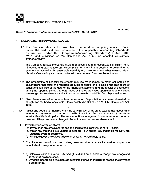

 $(7$  in Lakh)

#### *Notes to Financial Statements for the year ended 31st March, 2012*

#### 1. *S IG N IF IC A N T A C C O U N T IN G F O L IC IE S*

1.1 The financial statements have been prepared on a going concern basis under the historical cost convention, the applicable Accounting Standards as notified under the Companies (Accounting Standards) Rules 2006 ("AS") and provisions of the Companies Act, 1956', as adopted consistently by the Company.

The Company follows mercantile system of accounting and recognizes significant items of income and expenditure on accrual basis. Where it is not possible to determine the quantum of accrual with reasonable certainty e.g. insurance and other claims, refunc of custom/excise duty etc. these continue to be accounted for on settlement basis.

- 1.2 The preparation of financial statements requires management to make estimates and assumptions that affect the reported amounts of assets and liabilities and disclosure of contingent liabilities at the date of the financial statements and the results of operations during the reporting period. Although these estimates are based upon management's best knowledge of current events and actions, actual results could differ from these estimates.
- 1.3 Fixed Assets are valued at cost less depreciation. Depreciation has been calculated on straight line method at applicable rates prescribed in Schedule XIV of the Companies Act, 1956.
- 1.4 An asset is treated as impaired when the carrying cost of the same exceeds its recoverable amount. An impairment is charged to the Profit and Loss Account in the year in which an asset is identified as impaired. The impairment loss recognized in prior accounting period is reversed if there has been a change in the estimate of the recoverable amount.
- 1.5 Investments are valued at cost.
	- (a) Inventories of stores & spares and packing materials are valued at FIFO basis.
	- (b) Major raw materials are valued at cost on FIFO basis; Raw materials for NPK are valued at average cost price.
	- (c ) Finished goods are valued at lower of cost and net realisable value.
- 1.6 Cost includes cost of purchase, duties, taxes and all other costs incurred in bringing the inventories to their present location.
- 1.7 a) Sales exclusive of Excise Duty, VAT {? 275) and net of dealers' margin are recognised as revenue on dispatches,
	- b) Dividend income on investments is accounted for when the right to receive the payment is established.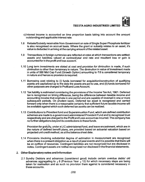- c) Interest income is accounted on time proportion basis taking into account the amount outstanding and applicable interest rate.
- 1.8 Rebate/Subsidy receivable from Government on sale of Single Super Phosphate fertilizer is also recognised on accrual basis. Where the grant or subsidy relates to an asset, it's value is deducted in arriving at the carrying amount of the related asset.
- 1.9 Transactions in foreign currencies are reflected at rates at which transactions are settled; assets and liabilities valued at contract/year end rate and resultant loss or gain is accounted for in the profit and loss account.
- 1.10 Long term investments are stated at cost and provision for diminution is made, if such diminution is other than temporary in nature. The diminution in value of investment made in units of SBI Mid Cap Fund (Growth Option) amounting to ? 8 is considered temporary in nature and hence no provision is required.
- 1.11 Borrowing cost relating to (i) funds borrowed for acquisition/construction of qualifying assets are capitalized up to the date the assets are put to use, and (ii) funds borrowed for other purposes are charged to Profitand Loss Account.
- 1.12 Tax liability is estimated considering the provisions of the Income Tax Act, 1961. Deferred tax is recognized on timing difference, being the difference between taxable income and accounting income that originate in one period and are capable of reversal in one or more subsequent periods. On prudent basis. Deferred tax asset is recognized and carried forward only when there is a reasonable certainty that sufficient future taxable income will be available against which such deferred tax assets can be realized.
- 1.13 Contributions to Provident fund and Superannuation Fund, which are defined contribution schemes are made to a government administered Provident Fund and to recognized trust respectively and are charged to the Profit and Loss account as incurred. The company has no further obligations beyond its contributions to these funds.

Provision for gratuity, under a LIC administered fund, and leave encashment, which are in the nature of defined benefit plans, are provided based on actuarial valuation based on projected unit credit method, as at the balance sheet date.

1.14 Provisions involving substantial degree of estimation in measurement are recognized when there is a present obligation as a result of past events and it is possible that there will be an outflow of resources. Contingent liabilities are not recognized but are disclosed in notes. Contingent assets are neither recognized nor disclosed in the financial statements.

#### 2. Other Explanatory notes and Information

2.1 Sundry Debtors and advances (considered good) include certain overdue debts/ old advances aggregating to  $\frac{1}{3}$  8 (Previous Year  $\frac{1}{3}$  12) for which necessary steps are being taken for realisation and as such no provision there against is considered necessary in these accounts.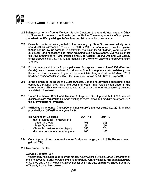

- 2.2 Balances of certain Sundry Debtors, Sundry Creditors, Loans and Advances and Other Liabilities are in process of confirmation/reconciliation. The management is of the opinion that adjustment if any arising out of such reconciliation would not be material.
- 2.3 Sales tax remission was granted to the company by State Government initially for a period of 9 (Nine) years which ended on 30.03.2010. The management is of the opinion that as per the law the company is entitled for remission for 13 (thirteen) years i.e. up to 30.03.2014 and necessary legal steps are being taken in this regard. VAT remission for the year amounting to  $\overline{x}$  275 credited directly to Capital Reserve A/c and VAT ilability under dispute since 31.03.2010 aggregating *x* 649 is shown under the head Contingent Liability.
- 2.4 Excise duty on sulphuric acid principally used for captive consumption of SSP (Finished Goods) has not been considered for valuation of stock of sulphuric acid consistently over the years. However, excise duty on fertilizers which is chargeable since 1st March, 2011 has been considered for valuation of fertilizer inventory as on 31.03.2013 as perAS-2
- 2.5 In the opinion of the Board the Current Assets, Loans and advances appearing in the company's balance sheet as at the year end would have value on realization in the normal course of business at least equal to the respective amounts atwhich they balance are stated in the sheet.
- 2.6 Under the Micro, Small and Medium Enterprises Development Act, 2006, certain disclosures are required to be made relating to micro, small and medium enterprises but the information is not available.
- 2.7 (a) Estimated amount of Capital Commitments net of advances as at 31.03.2013, and not provided for is  $\bar{\tau}$  500 (Previous year  $\bar{\tau}$  Nil).

| (b) Contingent Liabilities          | 2012-13 | 2011-12 |
|-------------------------------------|---------|---------|
| (Not provided for) in respect of :- |         |         |
| - Letter of Credit                  | 468     | 305     |
| - Bank Guarantees                   | 95      | 55      |
| -Sales Tax matters under dispute    | 650     | 374     |
| -Income tax matters under appeals   | 108     | 108     |
|                                     |         |         |

- 2.8 Consumption of raw materials includes foreign exchange gain of  $\bar{\tau}$  70 (Previous year gain of  $\overline{z}$  39).
- 2.9 Retirement Benefits

#### *D e fin e d B e n e fits P la n*

The company has subscribed to group gratuity policy with the Life Insurance Corporation of India to cover its liability towards employees' gratuity. Gratuity liability has been actuarially calculated and the same has been provided for as on the date of Balance Sheet. Summary of Gratuity Plan is given below:-.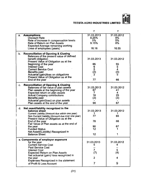|                                                                                                                                                                                                                                                                                                                                                                                 | ₹                                             | ₹                                                         |
|---------------------------------------------------------------------------------------------------------------------------------------------------------------------------------------------------------------------------------------------------------------------------------------------------------------------------------------------------------------------------------|-----------------------------------------------|-----------------------------------------------------------|
| <b>Assumptions</b><br>a.<br><b>Discount Rate</b><br>Rate of increase in compensation levels<br>Rate of Return on Plan Assets<br><b>Expected Average remaining working</b><br>Lives of employees (years)                                                                                                                                                                         | 31.03.2013<br>8.25%<br>5%<br>9.15%<br>16.16   | 31.03.2012<br>8%<br>5%<br>8%<br>16.55                     |
| <b>Reconciliation of Opening &amp; Closing</b><br>b.<br>Balances of the present value of defined<br>benefit obligation<br>Present Value of Obligation as at the<br>Beginning of the year<br><b>Interest Cost</b><br><b>Current Service Cost</b><br>Benefits paid<br>Actuarial (gain)/loss on obligations<br>Present Value of Obligation as at the<br>End of the year            | 31.03.2013<br>66<br>6<br>5<br>(2)<br>2<br>77  | 31.03.2012<br>55<br>$\frac{5}{4}$<br>$\binom{3}{5}$<br>66 |
| <b>Reconciliation of Opening &amp; Closing</b><br>C.<br>Balances of fair value of plan assets<br>Plan assets at the beginning of the year<br>Expected return on plan assets<br><b>Actual Company contributions</b><br><b>Benefits paid</b><br>Actuarial gain/(loss) on plan assets<br>Plan assets at the end of the year                                                        | 31.03.2013<br>67<br>7<br>18<br>(2)<br>90      | 31.03.2012<br>41<br>4<br>25<br>(3)<br>67                  |
| Net asset/liability recognized in the<br>d.<br>balance sheet<br>Current Liability (Amount due within one year)<br>Non Current Liability (Amount due over one year)<br>Present Value of Obligation as at the<br>End of the year<br>Fair Value of Plan assets as at the end of<br>the year<br><b>Funded Status</b><br>Net Asset/(Liability) Recognized in<br><b>Balance Sheet</b> | 31.03.2013<br>1<br>77<br>78<br>90<br>12<br>12 | 31.03.2012<br>1<br>65<br>66<br>67<br>1<br>1               |
| e. Components of employer expenses<br>for the year<br><b>Current Service Cost</b><br>Past Service Cost<br>Interest Cost<br><b>Expected Return on Plan Assets</b><br>Net actuarial (gain)/ loss recognized in<br>the vear<br>Expenses Recognized in the statement<br>of Profit & Loss Account                                                                                    | 31.03.2013<br>5<br>--<br>7<br>(7)<br>2<br>7   | 31.03.2012<br>4<br>$-$<br>5<br>(4)<br>9                   |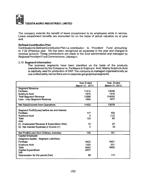

The company extends the benefit of leave encashment to its employees while in service. Leave encashment benefits are accounted for on the basis of actual valuation as at year end.

#### Defined Contribution Plan

Contribution to Defined Contribution Plan i.e. contribution to Provident Fund amounting to ? 22 (Previous year 18) has been recognized as expenses in the year and charged to revenue account. These contributions are made to the fund administered and managed by Regional Provident Fund Commissioner, Jalpaiguri.

#### 2.10 Segment Information

The business segments have been identified on the basis of the products manufactured by the Company i.e. Fertilisers & Sulphuric Acid. Mainly Sulphuric Acid is captively used for production of SSP. The company is managed organisationally as one unified entity, hence there are no separate geographical segments.

|                                               | Year Ended       | Year Ended     |
|-----------------------------------------------|------------------|----------------|
|                                               | March 31, 2013 · | March 31, 2012 |
| <b>Segment Revenue</b>                        |                  |                |
| Fertiliser                                    | 11512            | 13039          |
| Sulphuric Acid                                | 1874             | 1516           |
| <b>Total Segment Revenue</b>                  | 13386            | 114555         |
| Less: Inter-Segment Revenue                   | 1854             | 1477           |
| Net Sales/Income from Operations              | 11532            | 13078          |
|                                               |                  |                |
| Segment Profit/(Loss) before tax and interest |                  |                |
| Fertiliser                                    | 117              | 105            |
| Sulphuric Acid                                | 5                | (12)           |
| Total                                         | 122              | 93             |
| Add:                                          |                  |                |
| (i) Unallocated Revenue & Expenditure (Net)   | 10               | 23             |
| (ii) Net Interest Expense(-) Income $(+)$     | 3                | 35             |
|                                               |                  |                |
| Net Profit/(Loss) from Ordinary Activities    | 135              | 151            |
| Capital Employed.                             |                  |                |
| (Segment Assets - Segment Liabilities)        |                  |                |
| Fertiliser                                    | 5622             | 5421           |
| Sulphuric Acid                                | 1020             | 531            |
| Total                                         | 6642             | 5952           |
| <b>Capital Expenditure</b>                    | 2937             |                |
| 348                                           |                  |                |
| Depreciation for the period (Net)             | 59               | 114            |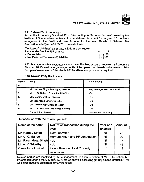

#### 2.11 Deferred Tax Accounting:-

As per the Accounting Standard 22 on "Accounting for Taxes on Income" issued by the Institute of Chartered Accountants of India, deferred tax credit for the year ? 3 has been recognised in the Profit and Loss Account for the year. Details of Deferred Tax Assets/(Liabilities) as on 31.03.2013 are as follows:

Tax Assets/(Liabilities) as on 31.03.2013 are as follows: - Items under Section 43B of IT Act  $\zeta = 4$ 

| Refils under Section 43B of IT Act      |           |
|-----------------------------------------|-----------|
| - Depreciation                          | ₹ - (170) |
| - Net Deferred Tax Assets/(Liabilities) | ₹ - (166) |

2.12 Management has evaluated value in use of its fixed assets as required by Accounting Standard 28. On evaluation, management is ofthe opinion that there is no impairment of the Company's assets as on 31st March, 2013 and hence no provision is required

#### 2.13 Related Party Disclosures

| Serial           | Party                                  | Relationship              |
|------------------|----------------------------------------|---------------------------|
| No.              |                                        |                           |
| 1 <sub>1</sub>   | Mr. Hardev Singh, Managing Director    | Key management personnel  |
| $\overline{2}$ . | Mr. U. C. Sahoo, Executive Director    | $-Do -$                   |
| 3.               | Mrs. Joginder Kaur, Director           | $-DO$ -                   |
| 4.               | Mr. Inderdeep Singh, Director          | -Do -                     |
| -5.              | Mr. Paramdeep Singh, Director          | - Do -                    |
| 6.               | Mr. A. K. Tripathy, Director (Finance) | - Do -                    |
| ۱7.              | Cama Infra Limited                     | <b>Associated Company</b> |

**Transaction with the related parties:**

| Name of the party         | Nature of Transaction during the | Year end   | Amount |
|---------------------------|----------------------------------|------------|--------|
|                           | vear                             | balance    |        |
| Mr. Hardev Singh          | Remuneration                     | Nil        | 78     |
| Mr. U. C. Sahoo           | Remuneration and PF contribution | Nil        | 29     |
| Mr. Paramdeep Singh       | $-$ do $-$                       | <b>Nil</b> |        |
| Mr. A. K. Tripathy        | $-$ do $-$                       | Nil        | 15     |
| <b>Cama Infra Limited</b> | Lease Rent on Hotel Property     | 3          | 3      |
|                           | receivable                       |            |        |

Related parties are identified by the management. The remuneration of Mr. U. C. Sahoo, Mr. Paramdeep Singh & Mr. A. K.Tripathy as stated above is excluding gratuity funded through LIC for which contributions are not separately identified.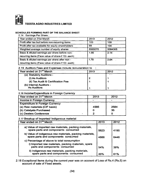

#### SCHEDULES FORMING PART OF THE BALANCE SHEET

2.14 Earnings Per Share :

| Year ended on 31st March                           | 2013    | 2012    |
|----------------------------------------------------|---------|---------|
| Profit after tax but before non-recurring items    | 103     | 109     |
| Profit after tax available for equity shareholders | 99      | 104     |
| Weighted average number of equity shares           | 5565070 | 5084305 |
| Basic & diluted earnings per share before non-     | 1.86    | 2.14    |
| recurring items (Face value of share ₹10/- each)   |         |         |
| Basic & diluted earnings per share after non -     | 1.78    | 2.04    |
| recurring items (Face value of share ₹10/- each)   |         |         |

#### 2.15 Auditors Fees and Expenses include remuneration to :

| Year ended on 31 <sup>st</sup> March          | 2013 | 2012 |
|-----------------------------------------------|------|------|
| (a) Statutory Auditors:-                      |      |      |
| (i) As Auditors                               | 2    |      |
| (ii) Tax Audit & Certification Fee            |      |      |
| (b) Internal Auditors -<br><b>As Auditors</b> |      |      |

#### 2.16 Income/Expenditure in Foreign Currency

| Year ended on 31 <sup>st</sup> March   | 2013 | 2012 |
|----------------------------------------|------|------|
| Income in Foreign Currency             |      |      |
| <b>Expenditure in Foreign Gurrency</b> |      |      |
| (a) Raw materials (CIF basis)          | 4585 | 2584 |
| (b) Catalysts Purchased                |      | 35   |
| (c) Dealers Conference                 |      |      |

#### 2.17 Breakup of Imported/ Indigenous material

| Year ended on 31 <sup>st</sup> March                                                                                                | 2013 |      |
|-------------------------------------------------------------------------------------------------------------------------------------|------|------|
| a) Value of imported raw materials, packing materials,<br>spare parts and components consumed                                       | 5823 | 4195 |
| b) Value of indigenous raw materials, packing materials,<br>spare parts and components consumed                                     | 4888 | 6446 |
| c) Percentage of above to total consumption<br>i) Imported raw materials, packing materials, spare<br>parts and components consumed | 54%  | 39%  |
| ii) Indigenous raw materials, packing materials,<br>spare parts and components consumed                                             | 46%  | 61%  |

2.18 Exceptional items during the current year was on account of Loss of Rs.4 (Rs.5) on account of sale of Fixed assets.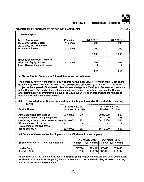

#### **SCHEDULES FORMING PART OF THE BALANCE SHEET EXAMPLE ASSESSED A** in Lakh

| 3. Share Capital                                    |           |           |                         |
|-----------------------------------------------------|-----------|-----------|-------------------------|
| Authorised<br>3.1                                   | Par Value | 31.3.2013 | 31.3.2012               |
| 80,00,000 Equity Shares<br>20,00,000, 8% Cumulative | ₹10 each  | 800       | 800                     |
| <b>Preference Shares</b>                            | ₹10 each  | 200       | 200                     |
|                                                     |           | 1,000     | 1,000<br>$\mathbf{v}$ . |
| <b>Issued, Subscribed &amp; Paid up</b>             |           |           |                         |
| 56,10,000 Equity Shares                             | ₹10 each  | - 561     | 561                     |
| Less; Allotment money in arrear                     |           | 4         | 4                       |
|                                                     |           | 557       | 557                     |

#### **3.2 Terms.RIghts, Preferences & Restrictions attached to Shares**

The company has only one class of equity shares having a par value of  $\bar{\tau}$  10 per share. Each share holder is eligible for one vote per share held. The dividend proposed by the Board of Directors is subject to the approval of the shareholders in the Annual general Meeting. In the event of liquidation of the Company, the equity share holders are eligible to receive remaihing assets of the Company, after distribution of all Preferential amounts. The distribution will be in proportion to the number of equity shares held by the shareholders.

#### **3.3 Reconciliation of Shares outstanding at the beginning and at the end of the reporting period**

| <b>Equity Shares</b>                                                                                                                                                                             | 31st March, 2013<br>Number $\bar{\tau}$ in Lakh |            | 31st March, 2012<br>Number $\bar{\tau}$ in Lakh |                   |  |
|--------------------------------------------------------------------------------------------------------------------------------------------------------------------------------------------------|-------------------------------------------------|------------|-------------------------------------------------|-------------------|--|
| At the beginning of the period<br>Issued and alloted during the period<br>Outstanding at the end of the period should be 56,10,000<br>Allotment money in arrear<br>Outstanding at the end of the | 56,10,000                                       | 561<br>561 | 50,80,000<br>5.30.000<br>56,10,000              | 508<br>-53<br>561 |  |
| period actually is                                                                                                                                                                               | 56,10,000                                       | 557        | 56,10,000                                       | 557               |  |

#### **3.4 Details of shareholders holding more than 5% shares in the company**

|                                         |                   | 31st March, 2013                        | 31st March, 2012                  |                    |  |
|-----------------------------------------|-------------------|-----------------------------------------|-----------------------------------|--------------------|--|
| Equity shares of ₹10 each fully paid up |                   | Number % of Holding Number % of Holding |                                   |                    |  |
| Hardev Singh<br>Joginder Kaur           | 1597790<br>587600 |                                         | 28.4811 1585440<br>10.4742 587600 | 28.2610<br>10.4742 |  |

As per records of the company, including its register of shareholders/members and other declarations received from shareholders regarding beneficial interest, the above shareholding represents both legal and beneficial ownerships of shares.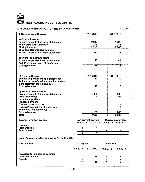

#### SCHEDULES FORMING PART OF THE BALANCE SHEET

₹ in Lakh

| 4. Reserves and Surplus                                    |           | 31.3.2013                  |           | 31.3.2012                 |
|------------------------------------------------------------|-----------|----------------------------|-----------|---------------------------|
|                                                            |           |                            |           |                           |
| a) Capital Reserve                                         |           |                            |           |                           |
| Balance as per last financial statements                   |           | 2.040                      |           | 1.799                     |
| Add: Output VAT Remission                                  |           | 275                        |           | 241                       |
| <b>Closing balance</b>                                     |           | 2,315                      |           | 2,040                     |
| b) Capital Redemption Reserve                              |           |                            |           |                           |
| Balance as per last financial statements                   |           | 111                        |           | 111                       |
|                                                            |           |                            |           |                           |
| c) Share Premium Account                                   |           | 48                         |           |                           |
| Balance as per last financial statements                   |           |                            |           | 43                        |
| Add: Premium on issue of Equity shares                     |           |                            |           | 5                         |
| <b>Closing balance</b>                                     |           | $\overline{48}$            |           | 48                        |
|                                                            |           |                            |           |                           |
|                                                            |           |                            |           |                           |
| d) General Reseve                                          |           | 31.3.2013                  |           | 31.3.2012                 |
| Balance as per last financial statements                   |           | 10                         |           | 10                        |
| Add:amount transferred from surplus balance                |           |                            |           |                           |
| in the statement of profit and loss                        |           |                            |           |                           |
| <b>Closing balance</b>                                     |           | 10                         |           | 10 <sup>1</sup>           |
|                                                            |           |                            |           |                           |
| e) Profit & Loss Account                                   |           |                            |           |                           |
| Balance as per last financial statements                   |           | 1,086                      |           | 989                       |
| Profit for the year                                        |           | 99                         |           | 104                       |
| Less: Appropriations                                       |           |                            |           |                           |
| Proposed dividend                                          |           |                            |           |                           |
| Dividend distribution tax                                  |           |                            |           | $\blacksquare$            |
| Dividend/Dividend Tax of earlier Year                      |           |                            |           | $\overline{7}$            |
| Transfer to general reserve                                |           |                            |           |                           |
| Closing balance                                            |           | 1,185                      |           | 1,086                     |
| Total                                                      |           | 3,669                      |           | 3.295                     |
|                                                            |           |                            |           |                           |
| <b>5.Long Term Borrowings</b>                              |           | <b>Non-current portion</b> |           | <b>Current maturities</b> |
|                                                            |           | 31.3.2013 31.3.2012        | 31.3.2013 | 31.3.2012                 |
| Unsecured                                                  |           |                            |           |                           |
| <b>From Directors</b>                                      | 1         | 1                          |           |                           |
| <b>From Others</b>                                         | 1         | ī                          |           | ٠                         |
|                                                            |           |                            |           |                           |
| Note: Current maturities is a part of Current liabilities. |           |                            |           |                           |
|                                                            |           |                            |           |                           |
| <b>6. Provisions</b>                                       | Long term |                            |           | Short term                |
|                                                            |           |                            |           |                           |
|                                                            | 31.3.2013 | 31.3.2012                  | 31.3.2013 | 31.3.2012                 |
|                                                            |           |                            |           |                           |
| Provision for employee benefits                            |           |                            |           |                           |
| <b>Leave Encashment</b>                                    | 17        | 18                         | 11        | 8                         |
| Gratuity                                                   | 17        | 18                         | 11        | 8                         |
|                                                            |           |                            |           |                           |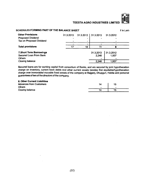$(37)$ 

#### **TEESTA AGRO INDUSTRIES LIMITED**

#### **SCHEDULES FORMING PART OF THE BALANCE SHEET** ? in Lakh

| <b>Other Provisions</b><br><b>Proposed Dividend.</b><br>Tax on Proposed Dividend              |    | $31.3.2013$ $31.3.2012$   31.3.2013<br>$\bullet$ |                             | 31.3.2012                   |
|-----------------------------------------------------------------------------------------------|----|--------------------------------------------------|-----------------------------|-----------------------------|
| <b>Total provisions</b>                                                                       | 17 | 18                                               |                             |                             |
| 7. Short Term Borrowings<br>Secured Loan From Bank<br><b>Others</b><br><b>Closing balance</b> |    |                                                  | 31.3.2013<br>2.246<br>2,246 | 31.3.2012<br>1,937<br>1,937 |

Secured loans are for working capital from consortium of Banks, and are secured by joint hypothecation charge on inventory, current book debts and other current assets besides first equitable/hypothecation charge over immovable/ movable fixed assets of the company at Rajganj, Dhupguri, Haldia and personal guarantees of two of the directors of the company.

## **8. Other Current Liabilities**

| <b>Advances from Customers</b> | 14             | 15        |  |
|--------------------------------|----------------|-----------|--|
| <b>Others</b>                  | $\blacksquare$ | $\bullet$ |  |
| Closing balance                |                | 15        |  |

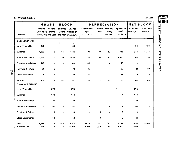|                                | <b>GROSS</b><br><b>BLOCK</b>                  |                               |                      |                                               |                                    |                 | <b>DEPRECIATION</b>             |                                    | <b>NET BLOCK</b>          |                           |
|--------------------------------|-----------------------------------------------|-------------------------------|----------------------|-----------------------------------------------|------------------------------------|-----------------|---------------------------------|------------------------------------|---------------------------|---------------------------|
| Description                    | Original<br>Cost as on<br>31.03.2012 the year | Additions Sale/Adj.<br>During | During               | Original<br>Cost as on<br>the year 31.03.2013 | Depreciation<br>upto<br>31.03.2012 | For the<br>year | Sale/Adj.<br>During<br>the year | Depreciation<br>upto<br>31.03.2013 | As At 31st<br>March, 2013 | As At 31st<br>March, 2012 |
| A. SILIGURI, W.B.              |                                               |                               | ł                    | $\mathcal{Z}$                                 |                                    |                 |                                 |                                    |                           |                           |
| Land (Freehold)                | 433                                           |                               |                      | 433                                           |                                    |                 |                                 |                                    | 433                       | 433                       |
| <b>Buildings</b>               | 1,832                                         | 6                             | 54                   | 1,784                                         | 499                                | 49              | 12                              | 536                                | 1,248                     | 1,333                     |
| Plant & Machinery              | 1,530                                         | w.                            | 76                   | 1,453                                         | 1,320                              | 64              | 34                              | 1,350                              | 103                       | 210                       |
| <b>Electrical Installation</b> | 143                                           |                               | $\blacksquare$       | 143                                           | 143                                |                 | ä                               | 143                                |                           | $\bullet$                 |
| Furniture & Fixture            | 65                                            | 5                             | $\ddot{\phantom{1}}$ | 70                                            | 35                                 | 4               | ٠                               | 39                                 | 31                        | 30                        |
| Office Equipment               | 28                                            | $\mathbf{1}$                  |                      | 29                                            | 27                                 | 1               | ٠                               | 28                                 | 1                         | 1                         |
| Vehicles                       | 134                                           | 15                            | 52                   | 97                                            | 51                                 | 15              | 33                              | 33                                 | 64                        | 83                        |
| <b>B. MOHALI, PUNJAB</b>       |                                               |                               |                      |                                               |                                    |                 |                                 |                                    |                           |                           |
| Land (Freehold)                |                                               | 1,378                         |                      | 1,378                                         |                                    |                 |                                 |                                    | 1,378                     | $\blacksquare$            |
| <b>Buildings</b>               |                                               | 178                           |                      | 178                                           |                                    | 1               |                                 | 1.                                 | 178                       | $\blacksquare$            |
| Plant & Machinery              |                                               | 71                            | $\blacksquare$       | 71                                            |                                    | 1               |                                 | 1                                  | 70                        | $\blacksquare$            |
| <b>Electrical Installation</b> |                                               | 92                            | $\blacksquare$       | 92                                            |                                    | $\overline{2}$  | $\blacksquare$                  | $\mathbf{2}$                       | 90                        | $\blacksquare$            |
| Furniture & Fixture            |                                               | 13                            | $\blacksquare$       | 13                                            |                                    | 0               | $\blacksquare$                  | $\mathbf 0$                        | 13                        | $\blacksquare$            |
| <b>Office Equipments</b>       |                                               | 12                            | $\ddot{\phantom{0}}$ | 12                                            |                                    | 0               | -                               | 0                                  | 11                        | $\blacksquare$            |
| Total                          | 4,165                                         | 1,770                         | 182                  | 5,754                                         | 2,075                              | 137             | 79                              | 2,133                              | 3,620                     | 2,090                     |
| <b>Previous Year</b>           | 3.818                                         | 370                           | 23                   | 4,165                                         | 1,961                              | 130             | 16                              | 2,075                              | 2,090                     |                           |

**FILLE VALUE** m<br>M

 $\mathbf{p}$ o o

**a c** 0) H

m CO

m **a**

₹ in Lakh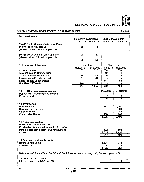$(39)$ 

| <b>10. Investments</b>                                                                        |                         |                      |                            |                |
|-----------------------------------------------------------------------------------------------|-------------------------|----------------------|----------------------------|----------------|
|                                                                                               | Non-current Investments |                      | <b>Current Investments</b> |                |
|                                                                                               |                         | 31.3.2013 31.3.2012  | 31.3.2013                  | 31.3.2012      |
|                                                                                               |                         |                      |                            |                |
| 69,418 Equity Shares of Allahabad Bank                                                        |                         |                      |                            |                |
| of ₹10/- each fully paid up                                                                   | 38                      | 38                   |                            |                |
| (Market value 87, Previous year 129)                                                          |                         |                      |                            |                |
|                                                                                               |                         |                      |                            |                |
| 50,568.90 Units of SBI Mid Cap Fund                                                           | 20                      | 20                   |                            |                |
|                                                                                               |                         |                      |                            |                |
| (Market value 12, Previous year 11)                                                           |                         |                      |                            |                |
|                                                                                               | 58                      | 58                   |                            | $\blacksquare$ |
|                                                                                               |                         |                      |                            |                |
| 11. Loans and Advances                                                                        |                         | Long Term            | Short term                 |                |
|                                                                                               | 31.3.2013               | 31.3.2012            | 31.3.2013                  | 31.3.2012      |
| Other advances                                                                                | 67                      | 1,325                | 288                        | 396            |
| Advance paid to Gratuity Fund                                                                 |                         |                      | 12                         | 1.             |
|                                                                                               |                         |                      |                            |                |
| TDS & Advance Income Tax                                                                      | 75                      | 43                   | 9                          | 9              |
| Income tax paid under protest                                                                 | 61                      | 61                   |                            |                |
| Sales tax paid under protest                                                                  |                         | $\ddot{\phantom{0}}$ | 341                        | 58             |
| <b>Unutilised VAT credit</b>                                                                  | 144                     | 121                  |                            |                |
|                                                                                               | 347                     | 1,550                | 650                        | 464            |
|                                                                                               |                         |                      |                            |                |
| 12.                                                                                           |                         |                      | 31.3.2013                  |                |
| <b>Other non-current Assets</b>                                                               |                         |                      |                            | 31.3.2012      |
| Deposit with Government Authorities                                                           |                         |                      | 1                          | 1              |
| <b>Other Deposits</b>                                                                         |                         |                      | $\overline{7}$             | 8              |
|                                                                                               |                         |                      | 8                          | 9              |
|                                                                                               |                         |                      |                            |                |
| 13. Inventories                                                                               |                         |                      |                            |                |
| <b>Raw materials</b>                                                                          |                         |                      | 883                        | 2,067          |
|                                                                                               |                         |                      |                            |                |
| Raw materials in Transit                                                                      |                         |                      |                            | 99             |
| Finished goods                                                                                |                         |                      | 924                        | 185            |
| <b>Consumable Stores</b>                                                                      |                         |                      | 188                        | 148            |
|                                                                                               |                         |                      | 1,995                      | 2,499          |
|                                                                                               |                         |                      |                            |                |
| 14. Trade receivables                                                                         |                         |                      |                            |                |
|                                                                                               |                         |                      |                            |                |
| Unsecured, Considered good                                                                    |                         |                      |                            |                |
| Outstanding for a period exceeding 6 months                                                   |                         |                      |                            |                |
| from the date they become due for payment.                                                    |                         |                      | 532                        | 693            |
| <b>Others</b>                                                                                 |                         |                      | 2.085                      | 2,436          |
|                                                                                               |                         |                      | 2.617                      | 3,129          |
|                                                                                               |                         |                      |                            |                |
|                                                                                               |                         |                      |                            |                |
| 15. Cash and cash equivalents                                                                 |                         |                      |                            |                |
| <b>Balances with Banks</b>                                                                    |                         |                      | 1,521                      | 772            |
| Cash on hand                                                                                  |                         |                      | 4                          | 9              |
|                                                                                               |                         |                      | 1,525                      | 781            |
|                                                                                               |                         |                      |                            |                |
| Balances with banks' includes FD with bank held as margin money $*$ 40, Previous year $*$ 611 |                         |                      |                            |                |
|                                                                                               |                         |                      |                            |                |
|                                                                                               |                         |                      |                            |                |
| <b>16.Other Current Assets</b>                                                                |                         |                      |                            |                |
| Interest accrued on NSC and FD                                                                |                         |                      | 1                          | $\overline{9}$ |

## **SCHEDULES FORMING PART OF THE BALANCE SHEET** ₹ in Lakh



**TEESTA AGRO INDUSTRIES LIMITED**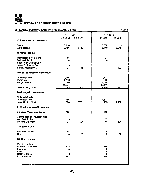

#### **SCHEDULES FORMING PART OF THE BALANCE SHEET**

 $\bar{\zeta}$  in Lakh

|                                                                                                                      | 31.3.2013<br>₹ in Lakh          | ₹ in Lakh | 31.3.2012<br>₹ in Lakh            | ₹ in Lakh |
|----------------------------------------------------------------------------------------------------------------------|---------------------------------|-----------|-----------------------------------|-----------|
| 17. Revenue from operations                                                                                          |                                 |           |                                   |           |
| <b>Sales</b><br>Govt. Rebate                                                                                         | 8,126<br>3.406                  | 11,532    | 6,638<br>6,440                    | 13,078    |
| <b>18.0ther Income</b>                                                                                               |                                 |           |                                   |           |
| Interest recd. from Bank<br>Dividend Recd.<br>Short Term Capital Gain<br>Leave & License Fee<br>Sundry receipt (net) | 88<br>4<br>1<br>5<br>27         | 125       | 74<br>4<br>7<br>11<br>11          | 107       |
| 19. Cost of materials consumed                                                                                       |                                 |           |                                   |           |
| <b>Opening Stock</b><br>Purchase<br>Freight Inward                                                                   | 2.166<br>8,116<br>989<br>11.271 |           | 2.891<br>8,500<br>1,050<br>12,441 |           |
| <b>Less: Cosing Stock</b>                                                                                            | 883                             | 10,388    | 2.166                             | 10,275    |
| 20. Change in Inventories .                                                                                          |                                 |           |                                   |           |
| <b>Finished Goods</b><br><b>Opening Stock</b><br>Less: Cosing Stock                                                  | 185<br>924                      | (739)     | 1,317<br>185                      | 1,132     |
| 21.Employee benefit expense                                                                                          |                                 |           |                                   |           |
| Salaries, Wages and Bonus                                                                                            | 458                             |           | 393                               |           |
| Contribution to Provident fund<br>and Gratuity Fund<br><b>Welfare Expenses</b>                                       | 29<br>34                        | 521       | 27<br>41                          | 461       |
| <b>22.Finance Cost</b>                                                                                               |                                 |           |                                   |           |
| <b>Interest to Banks</b><br><b>Others</b>                                                                            | 85<br>0                         | 85        | 26<br>12 <sub>2</sub>             | 38        |
| 23. Other expenses                                                                                                   |                                 |           |                                   |           |
| Packing materials<br>& Stores consumed<br>Insurance<br>Rent<br>Rates & Taxes<br>Power & Fuel                         | 322<br>16<br>7<br>6<br>302      |           | 366<br>9<br>6<br>6<br>198         |           |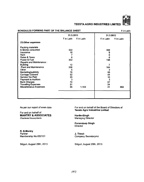

#### SCHEDULES FORMING PART OF THE BALANCE SHEET **EXAMPLE 2** in Lakh

|                               | 31.3.2013         |           | 31.3.2012       |           |
|-------------------------------|-------------------|-----------|-----------------|-----------|
|                               | ₹ in Lakh         | ₹ in Lakh | ₹ in Lakh       | ₹ in Lakh |
| 23. Other expenses            |                   |           |                 |           |
| Packing materials             |                   |           |                 |           |
| & Stores consumed             | 322               |           | 366             |           |
| Insurance                     | 16                |           | 9               |           |
| Rent                          |                   |           | $\bf 6$         |           |
| Rates & Taxes                 | 6                 |           | $6\phantom{1}6$ |           |
| Power & Fuel                  | 302               |           | 198             |           |
| Repairs and Maintenance:      |                   |           |                 |           |
| <b>Building</b>               | $12 \overline{ }$ |           | 7               |           |
| <b>Plant and Maintenance</b>  | 206               |           | 164             |           |
| Other                         | 5                 |           | 3               |           |
| Marketing/publicity           | 76                |           | 55              |           |
| Carriage Outward              | 52                |           | 44              |           |
| Service Tax Paid              | 20                |           | 10              |           |
| <b>Payment to Auditors</b>    | 3                 |           | 3               |           |
| <b>Bank Charges</b>           | 70                |           | 57              |           |
| <b>Travelling Expenses</b>    | 31                |           | 24              |           |
| <b>Miscellaneous Expenses</b> | 35                | 1,163     | 41              | 992       |
|                               |                   |           |                 |           |
|                               |                   |           |                 |           |
|                               |                   |           |                 |           |
|                               |                   |           |                 |           |

As per our report of even date

For and on behalf of MANTRY & ASSOCIATES *Chartered Accountants*

R. B.Mantry Partner Membership No.052131

For and on behalf of the Board of Directors of **Teesta Agro Industries Lmited** 

**HardevSingh** Managing Director

Paramdeep Singh **Director** 

J. Tiwari Company Secretarymz

Siliguri, August 29th, 2013 Siliguri, August 29th, 2013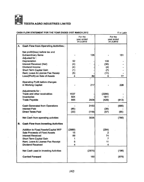

#### CASH FLOW STATEMENT FOR THE YEAR ENDED 31ST MARCH, 2012 7 in Lakh

|    |                                             |            | For the<br>year ended<br>31.3.2013 |             | For the<br>year ended<br>31.3.2012 |
|----|---------------------------------------------|------------|------------------------------------|-------------|------------------------------------|
| А. | <b>Cash Flow from Operating Activities:</b> |            |                                    |             |                                    |
|    | Net profit/(loss) before tax and            |            |                                    |             |                                    |
|    | <b>Extraordinary Items</b>                  |            | 135                                |             | 151                                |
|    | Adjusted for:                               |            |                                    |             |                                    |
|    | Depreciation                                | 92         |                                    | 130         |                                    |
|    | Interest Received (Net)                     | (4)        |                                    | (36)        |                                    |
|    | Dividend Income<br>Short Term Capital Gain  | (4)        |                                    | (4)         |                                    |
|    | Rent, Leave & License Fee Receip            | (1)<br>(5) |                                    | (7)<br>(11) |                                    |
|    | Loss/(Profit) on Sale of Assets             | 4          | 82                                 | 5           | 77                                 |
|    |                                             |            |                                    |             |                                    |
|    | <b>Operating Profit before changes</b>      |            |                                    |             |                                    |
|    | in Working Capital:                         |            | 217                                |             | 228                                |
|    |                                             |            |                                    |             |                                    |
|    | Adjustments for:                            |            |                                    |             |                                    |
|    | Trade and other receivables                 | 1537       |                                    | (2295)      |                                    |
|    | Inventories                                 | 504        |                                    | 1811        |                                    |
|    | <b>Trade Payable</b>                        | 895        | 2936                               | (429)       | (913)                              |
|    |                                             |            |                                    |             |                                    |
|    | <b>Cash Generated from Operations</b>       |            | 3153                               |             | (685)                              |
|    | <b>Interest Paid</b>                        | (85)       |                                    | (38)        |                                    |
|    | <b>Direct Taxes Paid</b>                    | (33)       | (118)                              | (57)        | (95)                               |
|    | Net Cash from operating activities          |            | 3035                               |             | (780)                              |
| В. | <b>Cash Flow from Investing Activities</b>  |            |                                    |             |                                    |
|    | Addition to Fixed Assets/Capital WIP        | (2989)     |                                    | (294)       |                                    |
|    | Sale Proceeds of Fixed Assets               | 15         |                                    | 2           |                                    |
|    | <b>Interest Received</b>                    | 89         |                                    | 74          |                                    |
|    | Short Term Capital Gain                     | 1          |                                    | 7           |                                    |
|    | Rent, Leave & License Fee Receipt           | 5          |                                    | 11          |                                    |
|    | Dividend Received                           | 4          |                                    | 4           |                                    |
|    |                                             |            |                                    |             |                                    |
|    | Net Cash used in Investing Activities       |            | (2875)                             |             | (196)                              |
|    | <b>Carried Forward</b>                      |            | 160                                |             | (976)                              |
|    |                                             |            |                                    |             |                                    |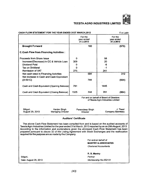**THE SHEET** 

### **TEESTA AGRO INDUSTRIES LIMITED**

| <b>CASH FLOW STATEMENT FOR THE YEAR ENDED 31ST MARCH, 2012</b><br>₹ in Lakh                                                                                                                                                                                                                                                                                                                                                                                            |                                    |                                    |                                    |                                |  |  |
|------------------------------------------------------------------------------------------------------------------------------------------------------------------------------------------------------------------------------------------------------------------------------------------------------------------------------------------------------------------------------------------------------------------------------------------------------------------------|------------------------------------|------------------------------------|------------------------------------|--------------------------------|--|--|
|                                                                                                                                                                                                                                                                                                                                                                                                                                                                        | For the<br>year ended<br>31.3.2013 |                                    | For the<br>year ended<br>31.3.2012 |                                |  |  |
| <b>Brought Forward</b>                                                                                                                                                                                                                                                                                                                                                                                                                                                 |                                    | 160                                |                                    | (976)                          |  |  |
| <b>C.Cash Flow from Financing Activities:</b>                                                                                                                                                                                                                                                                                                                                                                                                                          |                                    |                                    |                                    |                                |  |  |
| Proceeds from Share Issue                                                                                                                                                                                                                                                                                                                                                                                                                                              | 0                                  |                                    | 58                                 |                                |  |  |
| Increase/(Decrease) in CC & Vehicle Loan                                                                                                                                                                                                                                                                                                                                                                                                                               | 309                                |                                    | 20                                 |                                |  |  |
| Dividend Paid                                                                                                                                                                                                                                                                                                                                                                                                                                                          | 0                                  |                                    | -6                                 |                                |  |  |
| <b>Tax on Dividend</b>                                                                                                                                                                                                                                                                                                                                                                                                                                                 | 0                                  |                                    | $-1$                               |                                |  |  |
| <b>Remission of VAT</b>                                                                                                                                                                                                                                                                                                                                                                                                                                                | 275                                |                                    | 241                                |                                |  |  |
| Net cash used in Financing Activities<br>Net increase in Cash and Cash Equivalent                                                                                                                                                                                                                                                                                                                                                                                      |                                    | 584                                |                                    | 312                            |  |  |
| $(A+B+C)$                                                                                                                                                                                                                                                                                                                                                                                                                                                              |                                    | 744                                |                                    | (664)                          |  |  |
|                                                                                                                                                                                                                                                                                                                                                                                                                                                                        |                                    |                                    |                                    |                                |  |  |
| Cash and Cash Equivalent (Opening Balance)                                                                                                                                                                                                                                                                                                                                                                                                                             | 781                                |                                    | 1445                               |                                |  |  |
| Cash and Cash Equivalent (Closing Balance)                                                                                                                                                                                                                                                                                                                                                                                                                             | 1525                               | 744                                | 781                                | (664)                          |  |  |
| For and on behalf of Board of Directors<br>of Teesta Agro Industries Limited                                                                                                                                                                                                                                                                                                                                                                                           |                                    |                                    |                                    |                                |  |  |
| Siliguri,<br>Hardev Singh<br>August 29, 2013<br><b>Managing Director</b>                                                                                                                                                                                                                                                                                                                                                                                               |                                    | Paramdeep Singh<br><b>Director</b> |                                    | J. Tiwari<br>Company Secretary |  |  |
| <b>Auditors' Certificate</b>                                                                                                                                                                                                                                                                                                                                                                                                                                           |                                    |                                    |                                    |                                |  |  |
| The above Cash Flow Statement has been compiled from and is based on the audited accounts of<br>Teesta Agro Industries Limited for the year ended 31st March, 2013 reported by us on 29th August, 2013.<br>According to the information and explanations given the aforesaid Cash Flow Statement has been<br>prepared pursuant to clause 32 of the Listing Agreement with Stock Exchanges and the reallocation<br>required for the purpose are as made by the Company. |                                    |                                    |                                    |                                |  |  |
| For and on behalf of                                                                                                                                                                                                                                                                                                                                                                                                                                                   |                                    |                                    |                                    |                                |  |  |
| <b>MANTRY &amp; ASSOCIATES</b>                                                                                                                                                                                                                                                                                                                                                                                                                                         |                                    |                                    |                                    |                                |  |  |
| <b>Chartered Accountants</b>                                                                                                                                                                                                                                                                                                                                                                                                                                           |                                    |                                    |                                    |                                |  |  |
|                                                                                                                                                                                                                                                                                                                                                                                                                                                                        | R. B. Mantry                       |                                    |                                    |                                |  |  |
| Siliguri,                                                                                                                                                                                                                                                                                                                                                                                                                                                              |                                    |                                    |                                    | Partner                        |  |  |
| Date: August 29, 2013                                                                                                                                                                                                                                                                                                                                                                                                                                                  |                                    |                                    | Membership No.052131               |                                |  |  |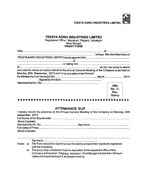Rev. Stamp

**TEESTA AGRO INDUSTRIES LIMITED** 

#### **TEESTA AGRO INDUSTRIES LIMITED**

Registered Office : Mazabari, Rajganj, Jaipaiguri West Bengal PROXY FORM

| and vote for me/us on my/our behalf at the Annual General Meeting of the Company to be held on |         |  |  |
|------------------------------------------------------------------------------------------------|---------|--|--|
| Monday, 30th September, 2013 and / or at any adjourment thereof.                               |         |  |  |
|                                                                                                |         |  |  |
|                                                                                                |         |  |  |
|                                                                                                |         |  |  |
|                                                                                                | Affix   |  |  |
|                                                                                                | Re. 1/- |  |  |

#### **ATTENDANCE SLIP**

| I hereby record my presence at the Annual General Meeting of the Company on Monday, 30th |  |
|------------------------------------------------------------------------------------------|--|
| September, 2013                                                                          |  |
|                                                                                          |  |
| (Block Capitals)                                                                         |  |
|                                                                                          |  |
|                                                                                          |  |
| (Block Capitals)                                                                         |  |
|                                                                                          |  |

Signature.............................. ...................................................

- Notes: a) The Form should be signed across the stamp as specimen signature registered with the Company.
	- b) The proxy duly completed must be deposited at the registered office ofthe Company at Mazabari, Rajgang, Jaipaiguri, West Bengal not less than 48 hours before the fixed holding the aforesaid meeting